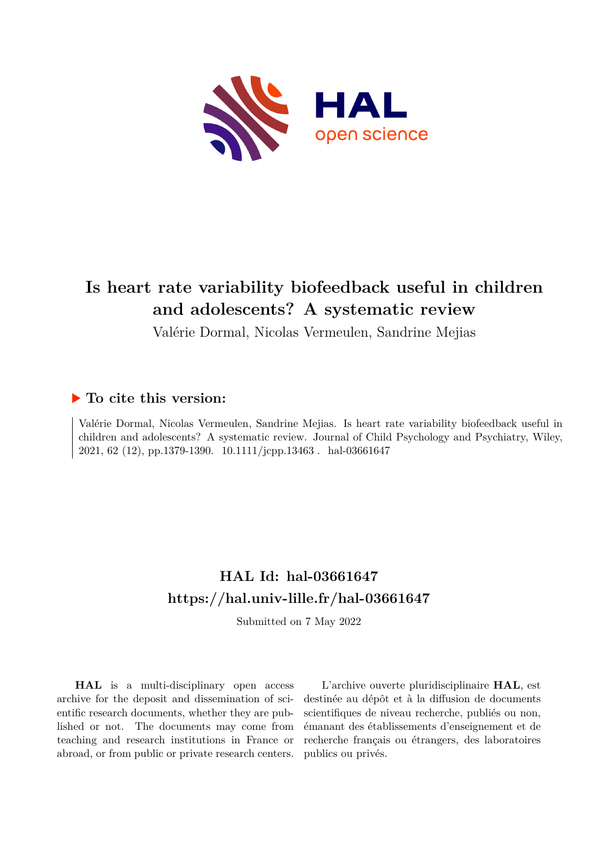

# **Is heart rate variability biofeedback useful in children and adolescents? A systematic review**

Valérie Dormal, Nicolas Vermeulen, Sandrine Mejias

# **To cite this version:**

Valérie Dormal, Nicolas Vermeulen, Sandrine Mejias. Is heart rate variability biofeedback useful in children and adolescents? A systematic review. Journal of Child Psychology and Psychiatry, Wiley, 2021, 62 (12), pp.1379-1390. 10.1111/jcpp.13463 . hal-03661647

# **HAL Id: hal-03661647 <https://hal.univ-lille.fr/hal-03661647>**

Submitted on 7 May 2022

**HAL** is a multi-disciplinary open access archive for the deposit and dissemination of scientific research documents, whether they are published or not. The documents may come from teaching and research institutions in France or abroad, or from public or private research centers.

L'archive ouverte pluridisciplinaire **HAL**, est destinée au dépôt et à la diffusion de documents scientifiques de niveau recherche, publiés ou non, émanant des établissements d'enseignement et de recherche français ou étrangers, des laboratoires publics ou privés.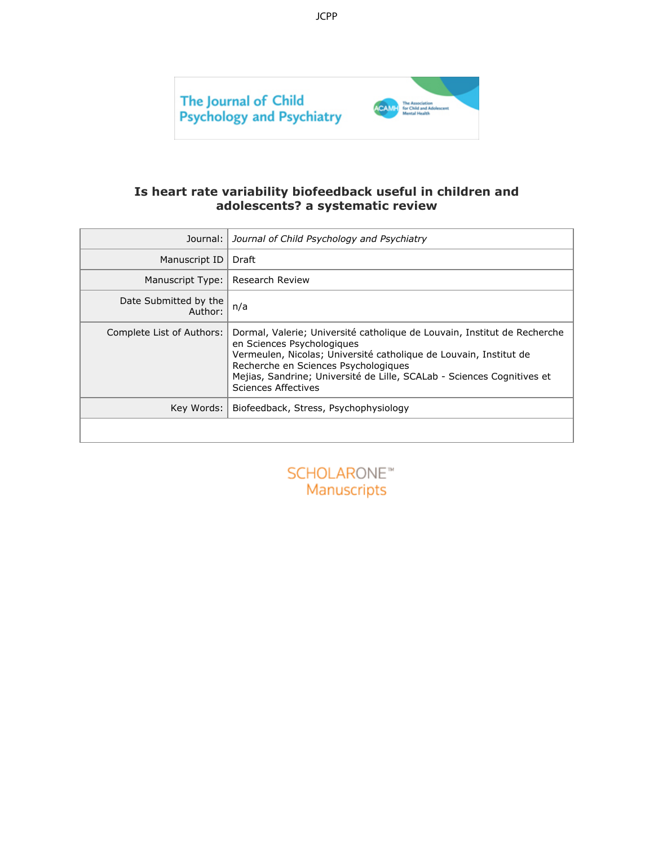

### **Is heart rate variability biofeedback useful in children and adolescents? a systematic review**

| Journal:                         | Journal of Child Psychology and Psychiatry                                                                                                                                                                                                                                                                                  |
|----------------------------------|-----------------------------------------------------------------------------------------------------------------------------------------------------------------------------------------------------------------------------------------------------------------------------------------------------------------------------|
| Manuscript ID                    | Draft                                                                                                                                                                                                                                                                                                                       |
| Manuscript Type:                 | <b>Research Review</b>                                                                                                                                                                                                                                                                                                      |
| Date Submitted by the<br>Author: | n/a                                                                                                                                                                                                                                                                                                                         |
| Complete List of Authors:        | Dormal, Valerie; Université catholique de Louvain, Institut de Recherche<br>en Sciences Psychologiques<br>Vermeulen, Nicolas; Université catholique de Louvain, Institut de<br>Recherche en Sciences Psychologiques<br>Mejias, Sandrine; Université de Lille, SCALab - Sciences Cognitives et<br><b>Sciences Affectives</b> |
| Key Words:                       | Biofeedback, Stress, Psychophysiology                                                                                                                                                                                                                                                                                       |
|                                  |                                                                                                                                                                                                                                                                                                                             |
|                                  | SCHOLARONE <sup>®</sup><br>Manuscripts                                                                                                                                                                                                                                                                                      |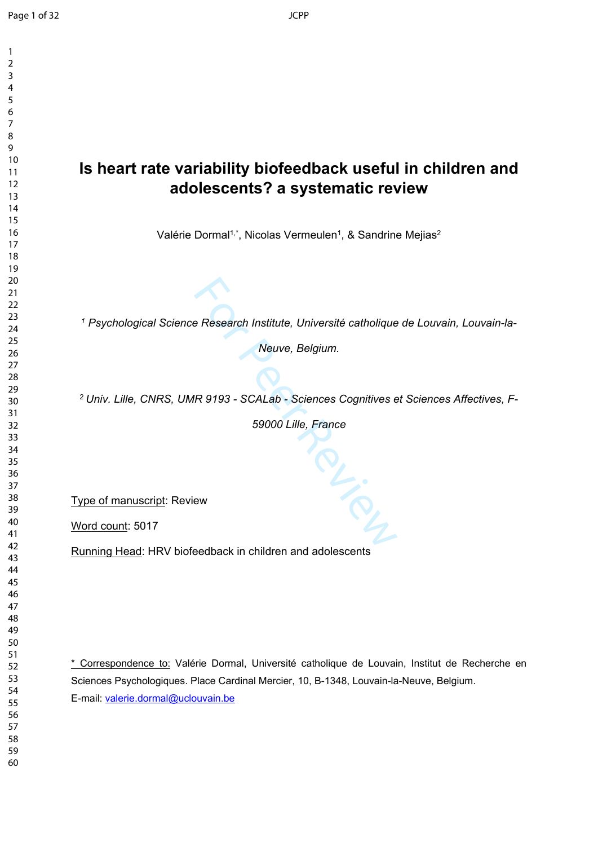$\mathbf{1}$ 

# **Is heart rate variability biofeedback useful in children and adolescents? a systematic review**

Valérie Dormal<sup>1,\*</sup>, Nicolas Vermeulen<sup>1</sup>, & Sandrine Mejias<sup>2</sup>

<sup>1</sup> Psychological Science Research Institute, Université catholique de Louvain, Louvain-la-

*Neuve, Belgium.*

*Univ. Lille, CNRS, UMR 9193 - SCALab - Sciences Cognitives et Sciences Affectives, F-*

*59000 Lille, France*

in Primer

Type of manuscript: Review

Word count: 5017

Running Head: HRV biofeedback in children and adolescents

\* Correspondence to: Valérie Dormal, Université catholique de Louvain, Institut de Recherche en Sciences Psychologiques. Place Cardinal Mercier, 10, B-1348, Louvain-la-Neuve, Belgium. E-mail: [valerie.dormal@uclouvain.be](mailto:valerie.dormal@uclouvain.be)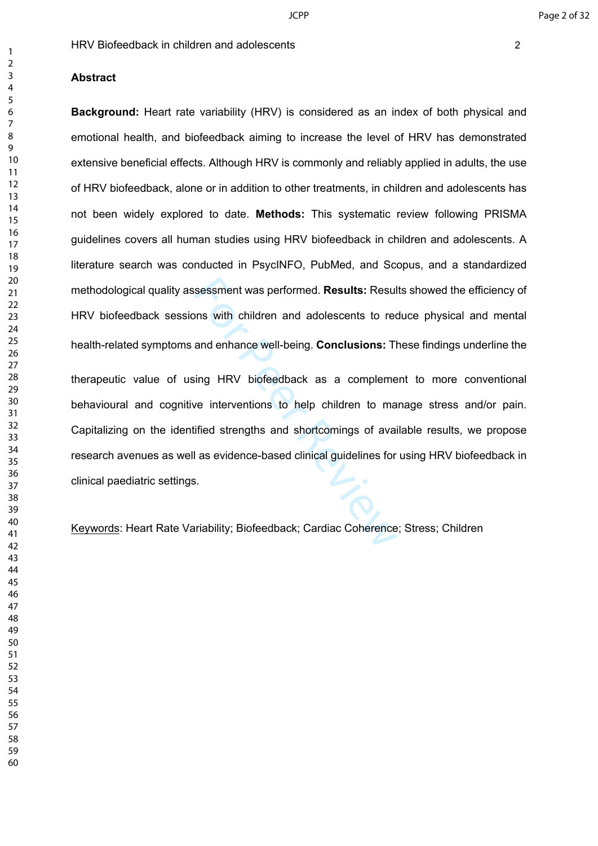Summer Was performed. Results: Result<br>
Summer Was performed. Results: Result<br>
Internation and adolescents to recannel and enhance well-being. Conclusions: The<br>
Summer Review of the performancy of availed strengths and shor **Background:** Heart rate variability (HRV) is considered as an index of both physical and emotional health, and biofeedback aiming to increase the level of HRV has demonstrated extensive beneficial effects. Although HRV is commonly and reliably applied in adults, the use of HRV biofeedback, alone or in addition to other treatments, in children and adolescents has not been widely explored to date. **Methods:** This systematic review following PRISMA guidelines covers all human studies using HRV biofeedback in children and adolescents. A literature search was conducted in PsycINFO, PubMed, and Scopus, and a standardized methodological quality assessment was performed. **Results:** Results showed the efficiency of HRV biofeedback sessions with children and adolescents to reduce physical and mental health-related symptoms and enhance well-being. **Conclusions:** These findings underline the therapeutic value of using HRV biofeedback as a complement to more conventional behavioural and cognitive interventions to help children to manage stress and/or pain. Capitalizing on the identified strengths and shortcomings of available results, we propose research avenues as well as evidence-based clinical guidelines for using HRV biofeedback in

clinical paediatric settings.

Keywords: Heart Rate Variability; Biofeedback; Cardiac Coherence; Stress; Children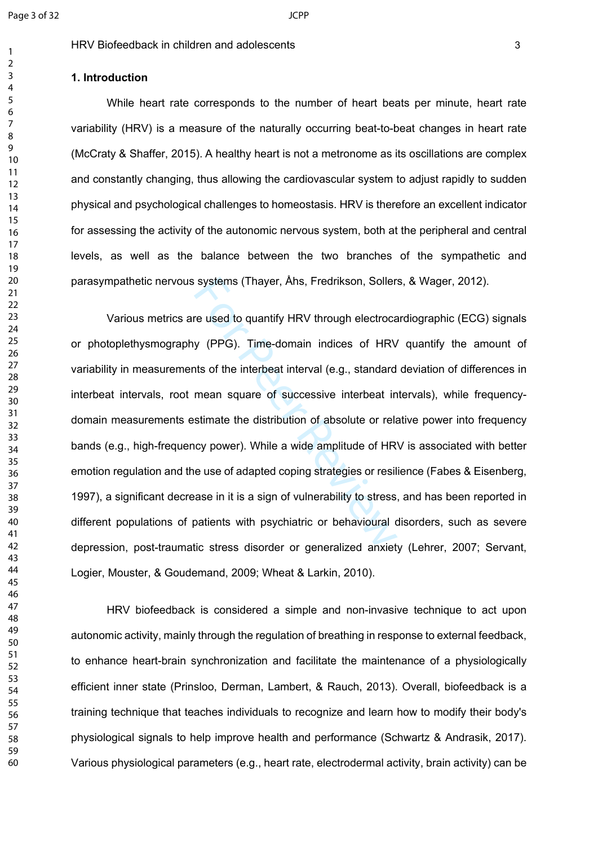$\mathbf{1}$  $\overline{2}$  $\overline{4}$  $\overline{7}$ 

#### HRV Biofeedback in children and adolescents 3

#### **1. Introduction**

While heart rate corresponds to the number of heart beats per minute, heart rate variability (HRV) is a measure of the naturally occurring beat-to-beat changes in heart rate (McCraty & Shaffer, 2015). A healthy heart is not a metronome as its oscillations are complex and constantly changing, thus allowing the cardiovascular system to adjust rapidly to sudden physical and psychological challenges to homeostasis. HRV is therefore an excellent indicator for assessing the activity of the autonomic nervous system, both at the peripheral and central levels, as well as the balance between the two branches of the sympathetic and parasympathetic nervous systems (Thayer, Åhs, Fredrikson, Sollers, & Wager, 2012).

systems (Thayer, Ahs, Fredrikson, Soller<br>re used to quantify HRV through electroca<br>y (PPG). Time-domain indices of HRV<br>ths of the interbeat interval (e.g., standard<br>mean square of successive interbeat in<br>stimate the distri Various metrics are used to quantify HRV through electrocardiographic (ECG) signals or photoplethysmography (PPG). Time-domain indices of HRV quantify the amount of variability in measurements of the interbeat interval (e.g., standard deviation of differences in interbeat intervals, root mean square of successive interbeat intervals), while frequencydomain measurements estimate the distribution of absolute or relative power into frequency bands (e.g., high-frequency power). While a wide amplitude of HRV is associated with better emotion regulation and the use of adapted coping strategies or resilience (Fabes & Eisenberg, 1997), a significant decrease in it is a sign of vulnerability to stress, and has been reported in different populations of patients with psychiatric or behavioural disorders, such as severe depression, post-traumatic stress disorder or generalized anxiety (Lehrer, 2007; Servant, Logier, Mouster, & Goudemand, 2009; Wheat & Larkin, 2010).

HRV biofeedback is considered a simple and non-invasive technique to act upon autonomic activity, mainly through the regulation of breathing in response to external feedback, to enhance heart-brain synchronization and facilitate the maintenance of a physiologically efficient inner state (Prinsloo, Derman, Lambert, & Rauch, 2013). Overall, biofeedback is a training technique that teaches individuals to recognize and learn how to modify their body's physiological signals to help improve health and performance (Schwartz & Andrasik, 2017). Various physiological parameters (e.g., heart rate, electrodermal activity, brain activity) can be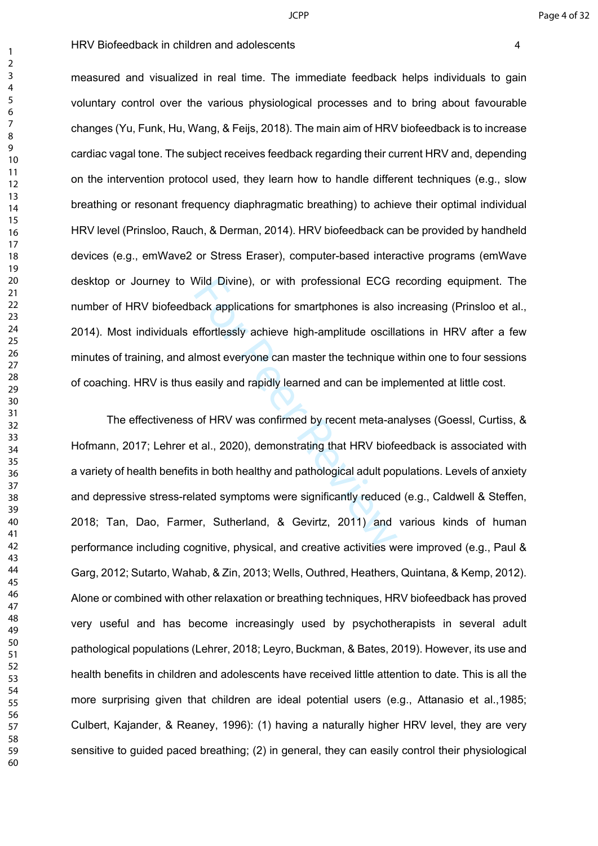measured and visualized in real time. The immediate feedback helps individuals to gain voluntary control over the various physiological processes and to bring about favourable changes (Yu, Funk, Hu, Wang, & Feijs, 2018). The main aim of HRV biofeedback is to increase cardiac vagal tone. The subject receives feedback regarding their current HRV and, depending on the intervention protocol used, they learn how to handle different techniques (e.g., slow breathing or resonant frequency diaphragmatic breathing) to achieve their optimal individual HRV level (Prinsloo, Rauch, & Derman, 2014). HRV biofeedback can be provided by handheld devices (e.g., emWave2 or Stress Eraser), computer-based interactive programs (emWave desktop or Journey to Wild Divine), or with professional ECG recording equipment. The number of HRV biofeedback applications for smartphones is also increasing (Prinsloo et al., 2014). Most individuals effortlessly achieve high-amplitude oscillations in HRV after a few minutes of training, and almost everyone can master the technique within one to four sessions of coaching. HRV is thus easily and rapidly learned and can be implemented at little cost.

Wild Divine), or with professional ECG i<br>ack applications for smartphones is also<br>effortlessly achieve high-amplitude oscilla<br>lmost everyone can master the technique<br>easily and rapidly learned and can be imp<br>of HRV was con The effectiveness of HRV was confirmed by recent meta-analyses (Goessl, Curtiss, & Hofmann, 2017; Lehrer et al., 2020), demonstrating that HRV biofeedback is associated with a variety of health benefits in both healthy and pathological adult populations. Levels of anxiety and depressive stress-related symptoms were significantly reduced (e.g., Caldwell & Steffen, 2018; Tan, Dao, Farmer, Sutherland, & Gevirtz, 2011) and various kinds of human performance including cognitive, physical, and creative activities were improved (e.g., Paul & Garg, 2012; Sutarto, Wahab, & Zin, 2013; Wells, Outhred, Heathers, Quintana, & Kemp, 2012). Alone or combined with other relaxation or breathing techniques, HRV biofeedback has proved very useful and has become increasingly used by psychotherapists in several adult pathological populations (Lehrer, 2018; Leyro, Buckman, & Bates, 2019). However, its use and health benefits in children and adolescents have received little attention to date. This is all the more surprising given that children are ideal potential users (e.g., Attanasio et al.,1985; Culbert, Kajander, & Reaney, 1996): (1) having a naturally higher HRV level, they are very sensitive to guided paced breathing; (2) in general, they can easily control their physiological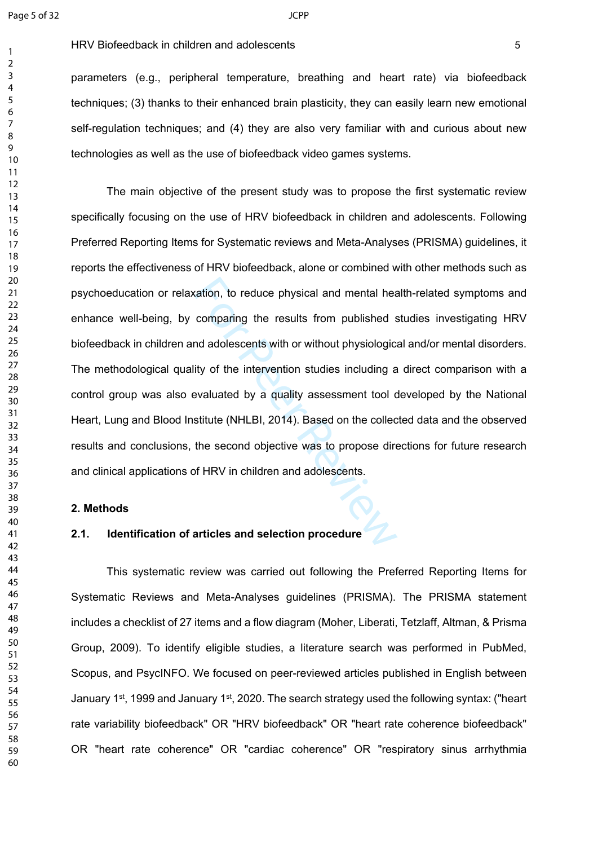$\mathbf{1}$  $\overline{2}$  $\overline{4}$  $\overline{7}$ 

parameters (e.g., peripheral temperature, breathing and heart rate) via biofeedback techniques; (3) thanks to their enhanced brain plasticity, they can easily learn new emotional self-regulation techniques; and (4) they are also very familiar with and curious about new technologies as well as the use of biofeedback video games systems.

ration, to reduce physical and mental head comparing the results from published stand adolescents with or without physiologicity of the intervention studies including a evaluated by a quality assessment tool costitute (NHL The main objective of the present study was to propose the first systematic review specifically focusing on the use of HRV biofeedback in children and adolescents. Following Preferred Reporting Items for Systematic reviews and Meta-Analyses (PRISMA) guidelines, it reports the effectiveness of HRV biofeedback, alone or combined with other methods such as psychoeducation or relaxation, to reduce physical and mental health-related symptoms and enhance well-being, by comparing the results from published studies investigating HRV biofeedback in children and adolescents with or without physiological and/or mental disorders. The methodological quality of the intervention studies including a direct comparison with a control group was also evaluated by a quality assessment tool developed by the National Heart, Lung and Blood Institute (NHLBI, 2014). Based on the collected data and the observed results and conclusions, the second objective was to propose directions for future research and clinical applications of HRV in children and adolescents.

#### **2. Methods**

### **2.1. Identification of articles and selection procedure**

This systematic review was carried out following the Preferred Reporting Items for Systematic Reviews and Meta-Analyses guidelines (PRISMA). The PRISMA statement includes a checklist of 27 items and a flow diagram (Moher, Liberati, Tetzlaff, Altman, & Prisma Group, 2009). To identify eligible studies, a literature search was performed in PubMed, Scopus, and PsycINFO. We focused on peer-reviewed articles published in English between January 1st, 1999 and January 1st, 2020. The search strategy used the following syntax: ("heart rate variability biofeedback" OR "HRV biofeedback" OR "heart rate coherence biofeedback" OR "heart rate coherence" OR "cardiac coherence" OR "respiratory sinus arrhythmia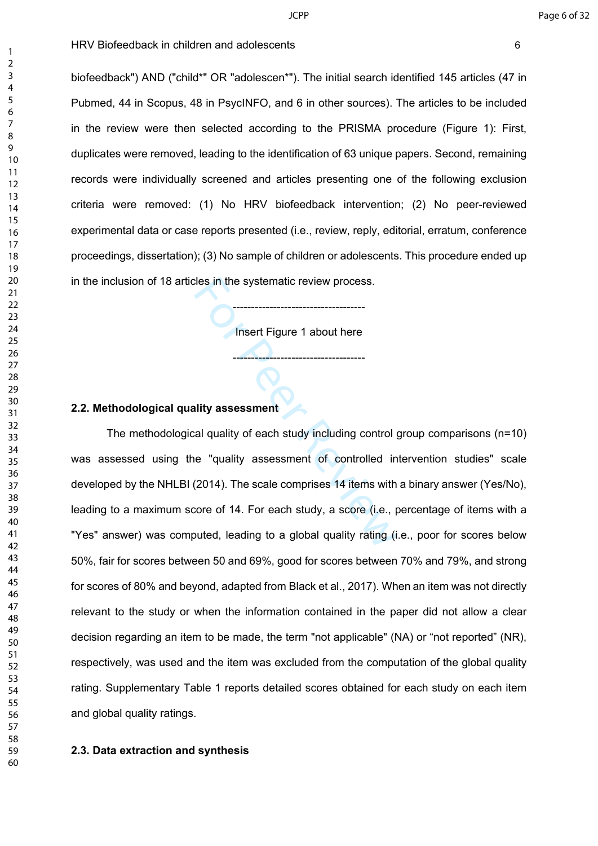biofeedback") AND ("child\*" OR "adolescen\*"). The initial search identified 145 articles (47 in Pubmed, 44 in Scopus, 48 in PsycINFO, and 6 in other sources). The articles to be included in the review were then selected according to the PRISMA procedure (Figure 1): First, duplicates were removed, leading to the identification of 63 unique papers. Second, remaining records were individually screened and articles presenting one of the following exclusion criteria were removed: (1) No HRV biofeedback intervention; (2) No peer-reviewed experimental data or case reports presented (i.e., review, reply, editorial, erratum, conference proceedings, dissertation); (3) No sample of children or adolescents. This procedure ended up in the inclusion of 18 articles in the systematic review process.

**Insert Figure 1 about here** 

------------------------------------

------------------------------------

#### **2.2. Methodological quality assessment**

Colles in the systematic review process.<br>
The Collect Figure 1 about here<br>
The Figure 1 about here<br>
The Figure 1 about here<br>
The Figure 1 about here<br>
all quality assessment<br>
Cal quality of each study including controlled i The methodological quality of each study including control group comparisons (n=10) was assessed using the "quality assessment of controlled intervention studies" scale developed by the NHLBI (2014). The scale comprises 14 items with a binary answer (Yes/No), leading to a maximum score of 14. For each study, a score (i.e., percentage of items with a "Yes" answer) was computed, leading to a global quality rating (i.e., poor for scores below 50%, fair for scores between 50 and 69%, good for scores between 70% and 79%, and strong for scores of 80% and beyond, adapted from Black et al., 2017). When an item was not directly relevant to the study or when the information contained in the paper did not allow a clear decision regarding an item to be made, the term "not applicable" (NA) or "not reported" (NR), respectively, was used and the item was excluded from the computation of the global quality rating. Supplementary Table 1 reports detailed scores obtained for each study on each item and global quality ratings.

#### **2.3. Data extraction and synthesis**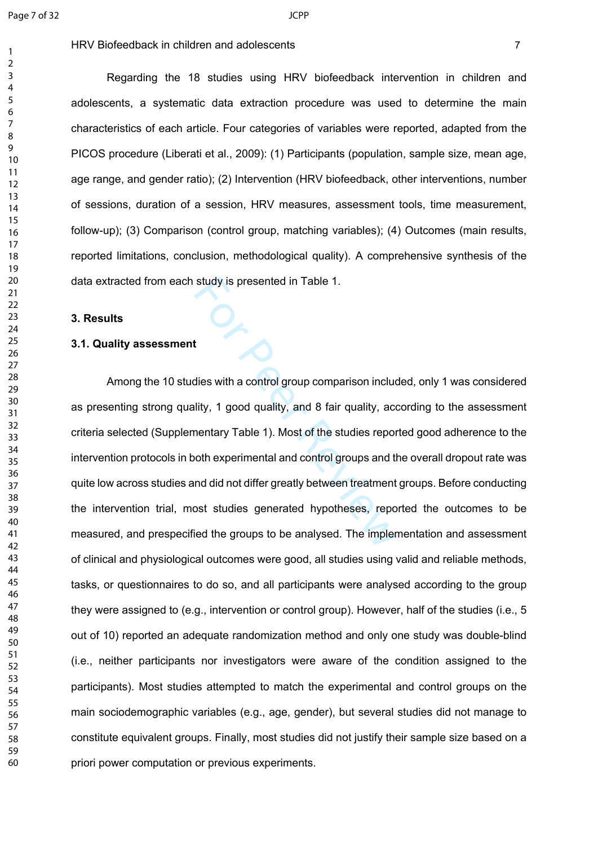$\mathbf{1}$  $\overline{2}$  $\overline{4}$  $\overline{7}$ 

Regarding the 18 studies using HRV biofeedback intervention in children and adolescents, a systematic data extraction procedure was used to determine the main characteristics of each article. Four categories of variables were reported, adapted from the PICOS procedure (Liberati et al., 2009): (1) Participants (population, sample size, mean age, age range, and gender ratio); (2) Intervention (HRV biofeedback, other interventions, number of sessions, duration of a session, HRV measures, assessment tools, time measurement, follow-up); (3) Comparison (control group, matching variables); (4) Outcomes (main results, reported limitations, conclusion, methodological quality). A comprehensive synthesis of the data extracted from each study is presented in Table 1.

#### **3. Results**

#### **3.1. Quality assessment**

study is presented in Table 1.<br>
Here Table 1.<br>
Here Table 1.<br>
Here Table 1. Most of the studies reported the specified in Most of the studies report<br>
here Table 1. Most of the studies reported the specified the discrepance Among the 10 studies with a control group comparison included, only 1 was considered as presenting strong quality, 1 good quality, and 8 fair quality, according to the assessment criteria selected (Supplementary Table 1). Most of the studies reported good adherence to the intervention protocols in both experimental and control groups and the overall dropout rate was quite low across studies and did not differ greatly between treatment groups. Before conducting the intervention trial, most studies generated hypotheses, reported the outcomes to be measured, and prespecified the groups to be analysed. The implementation and assessment of clinical and physiological outcomes were good, all studies using valid and reliable methods, tasks, or questionnaires to do so, and all participants were analysed according to the group they were assigned to (e.g., intervention or control group). However, half of the studies (i.e., 5 out of 10) reported an adequate randomization method and only one study was double-blind (i.e., neither participants nor investigators were aware of the condition assigned to the participants). Most studies attempted to match the experimental and control groups on the main sociodemographic variables (e.g., age, gender), but several studies did not manage to constitute equivalent groups. Finally, most studies did not justify their sample size based on a priori power computation or previous experiments.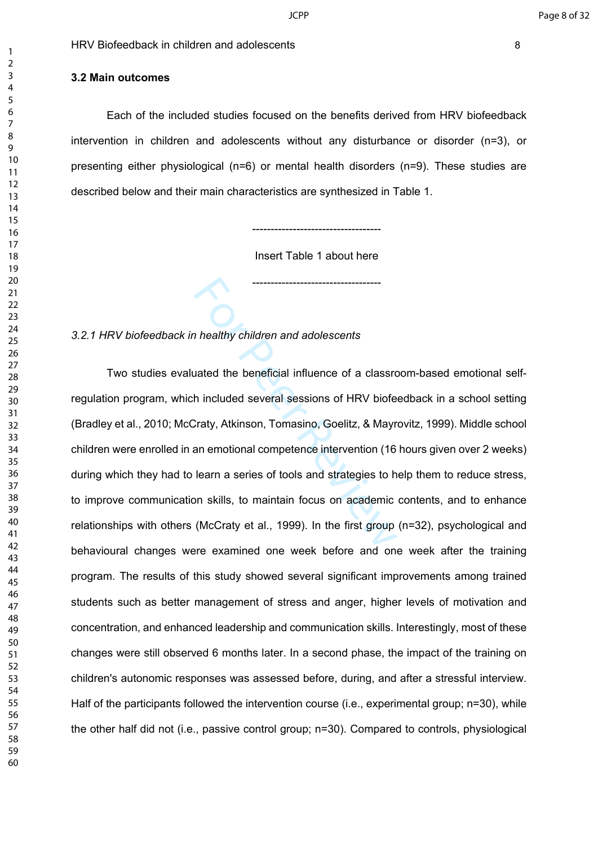#### **3.2 Main outcomes**

Each of the included studies focused on the benefits derived from HRV biofeedback intervention in children and adolescents without any disturbance or disorder (n=3), or presenting either physiological (n=6) or mental health disorders (n=9). These studies are described below and their main characteristics are synthesized in Table 1.

> ----------------------------------- Insert Table 1 about here

> -----------------------------------

#### *3.2.1 HRV biofeedback in healthy children and adolescents*

The althy children and adolescents<br>
ated the beneficial influence of a classro<br>
h included several sessions of HRV biofe<br>
Craty, Atkinson, Tomasino, Goelitz, & Mayr<br>
an emotional competence intervention (16<br>
learn a series Two studies evaluated the beneficial influence of a classroom-based emotional selfregulation program, which included several sessions of HRV biofeedback in a school setting (Bradley et al., 2010; McCraty, Atkinson, Tomasino, Goelitz, & Mayrovitz, 1999). Middle school children were enrolled in an emotional competence intervention (16 hours given over 2 weeks) during which they had to learn a series of tools and strategies to help them to reduce stress, to improve communication skills, to maintain focus on academic contents, and to enhance relationships with others (McCraty et al., 1999). In the first group (n=32), psychological and behavioural changes were examined one week before and one week after the training program. The results of this study showed several significant improvements among trained students such as better management of stress and anger, higher levels of motivation and concentration, and enhanced leadership and communication skills. Interestingly, most of these changes were still observed 6 months later. In a second phase, the impact of the training on children's autonomic responses was assessed before, during, and after a stressful interview. Half of the participants followed the intervention course (i.e., experimental group; n=30), while the other half did not (i.e., passive control group; n=30). Compared to controls, physiological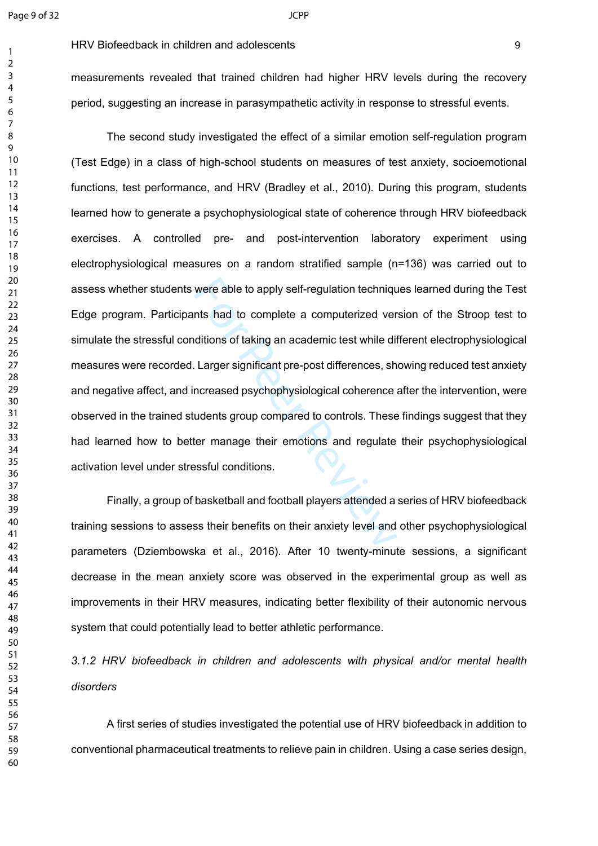measurements revealed that trained children had higher HRV levels during the recovery period, suggesting an increase in parasympathetic activity in response to stressful events.

were able to apply self-regulation technique<br>
Ints had to complete a computerized ver<br>
ditions of taking an academic test while differences, sh<br>
Larger significant pre-post differences, sh<br>
Increased psychophysiological co The second study investigated the effect of a similar emotion self-regulation program (Test Edge) in a class of high-school students on measures of test anxiety, socioemotional functions, test performance, and HRV (Bradley et al., 2010). During this program, students learned how to generate a psychophysiological state of coherence through HRV biofeedback exercises. A controlled pre- and post-intervention laboratory experiment using electrophysiological measures on a random stratified sample (n=136) was carried out to assess whether students were able to apply self-regulation techniques learned during the Test Edge program. Participants had to complete a computerized version of the Stroop test to simulate the stressful conditions of taking an academic test while different electrophysiological measures were recorded. Larger significant pre-post differences, showing reduced test anxiety and negative affect, and increased psychophysiological coherence after the intervention, were observed in the trained students group compared to controls. These findings suggest that they had learned how to better manage their emotions and regulate their psychophysiological activation level under stressful conditions.

Finally, a group of basketball and football players attended a series of HRV biofeedback training sessions to assess their benefits on their anxiety level and other psychophysiological parameters (Dziembowska et al., 2016). After 10 twenty-minute sessions, a significant decrease in the mean anxiety score was observed in the experimental group as well as improvements in their HRV measures, indicating better flexibility of their autonomic nervous system that could potentially lead to better athletic performance.

*3.1.2 HRV biofeedback in children and adolescents with physical and/or mental health disorders*

A first series of studies investigated the potential use of HRV biofeedback in addition to conventional pharmaceutical treatments to relieve pain in children. Using a case series design,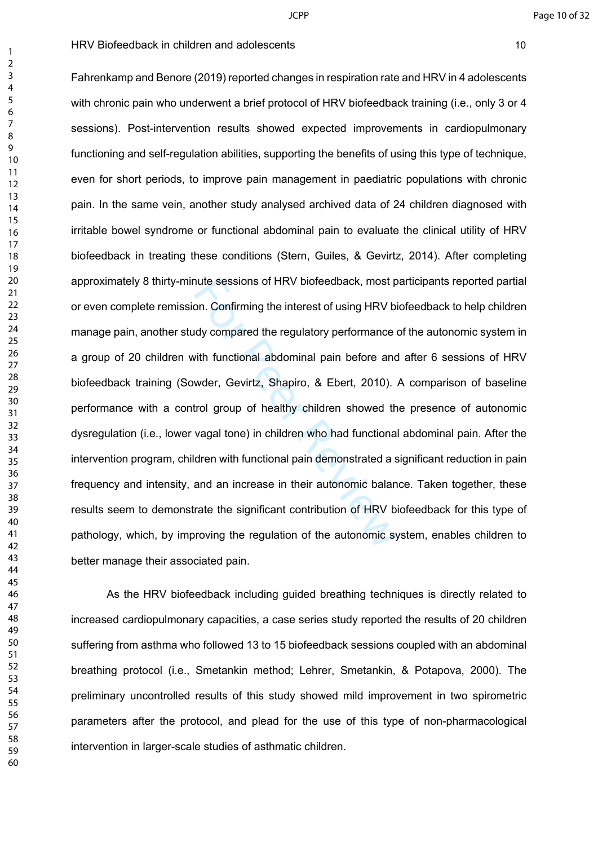nute sessions of HRV biofeedback, most p<br>on. Confirming the interest of using HRV bi<br>dy compared the regulatory performance of<br>with functional abdominal pain before and<br>wder, Gevirtz, Shapiro, & Ebert, 2010).<br>trol group of Fahrenkamp and Benore (2019) reported changes in respiration rate and HRV in 4 adolescents with chronic pain who underwent a brief protocol of HRV biofeedback training (i.e., only 3 or 4 sessions). Post-intervention results showed expected improvements in cardiopulmonary functioning and self-regulation abilities, supporting the benefits of using this type of technique, even for short periods, to improve pain management in paediatric populations with chronic pain. In the same vein, another study analysed archived data of 24 children diagnosed with irritable bowel syndrome or functional abdominal pain to evaluate the clinical utility of HRV biofeedback in treating these conditions (Stern, Guiles, & Gevirtz, 2014). After completing approximately 8 thirty-minute sessions of HRV biofeedback, most participants reported partial or even complete remission. Confirming the interest of using HRV biofeedback to help children manage pain, another study compared the regulatory performance of the autonomic system in a group of 20 children with functional abdominal pain before and after 6 sessions of HRV biofeedback training (Sowder, Gevirtz, Shapiro, & Ebert, 2010). A comparison of baseline performance with a control group of healthy children showed the presence of autonomic dysregulation (i.e., lower vagal tone) in children who had functional abdominal pain. After the intervention program, children with functional pain demonstrated a significant reduction in pain frequency and intensity, and an increase in their autonomic balance. Taken together, these results seem to demonstrate the significant contribution of HRV biofeedback for this type of pathology, which, by improving the regulation of the autonomic system, enables children to better manage their associated pain.

As the HRV biofeedback including guided breathing techniques is directly related to increased cardiopulmonary capacities, a case series study reported the results of 20 children suffering from asthma who followed 13 to 15 biofeedback sessions coupled with an abdominal breathing protocol (i.e., Smetankin method; Lehrer, Smetankin, & Potapova, 2000). The preliminary uncontrolled results of this study showed mild improvement in two spirometric parameters after the protocol, and plead for the use of this type of non-pharmacological intervention in larger-scale studies of asthmatic children.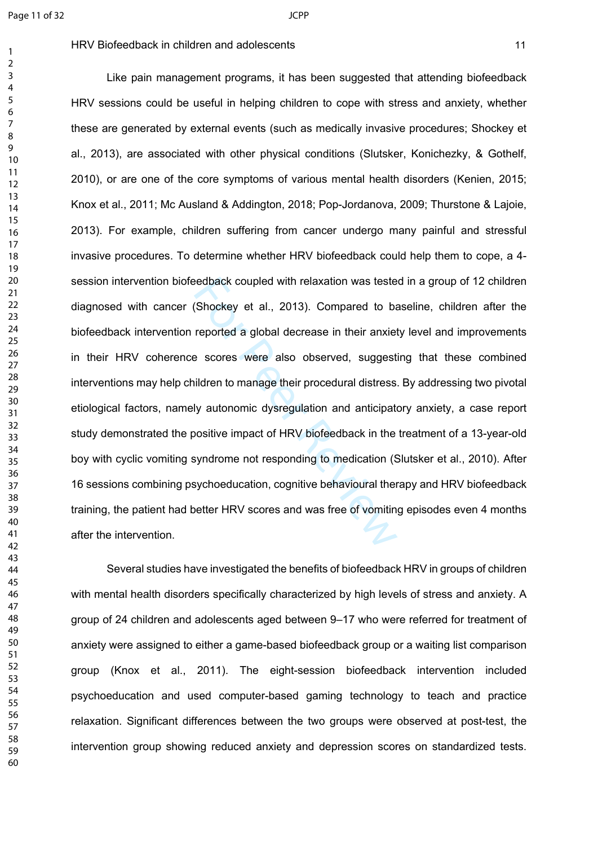$\mathbf{1}$  $\overline{2}$  $\overline{4}$  $\overline{7}$ 

#### HRV Biofeedback in children and adolescents 11 and 2008 11

eedback coupled with relaxation was teste<br>(Shockey et al., 2013). Compared to bald<br>reported a global decrease in their anxiet<br>excores were also observed, suggest<br>ildren to manage their procedural distress<br>ly autonomic dysr Like pain management programs, it has been suggested that attending biofeedback HRV sessions could be useful in helping children to cope with stress and anxiety, whether these are generated by external events (such as medically invasive procedures; Shockey et al., 2013), are associated with other physical conditions (Slutsker, Konichezky, & Gothelf, 2010), or are one of the core symptoms of various mental health disorders (Kenien, 2015; Knox et al., 2011; Mc Ausland & Addington, 2018; Pop-Jordanova, 2009; Thurstone & Lajoie, 2013). For example, children suffering from cancer undergo many painful and stressful invasive procedures. To determine whether HRV biofeedback could help them to cope, a 4 session intervention biofeedback coupled with relaxation was tested in a group of 12 children diagnosed with cancer (Shockey et al., 2013). Compared to baseline, children after the biofeedback intervention reported a global decrease in their anxiety level and improvements in their HRV coherence scores were also observed, suggesting that these combined interventions may help children to manage their procedural distress. By addressing two pivotal etiological factors, namely autonomic dysregulation and anticipatory anxiety, a case report study demonstrated the positive impact of HRV biofeedback in the treatment of a 13-year-old boy with cyclic vomiting syndrome not responding to medication (Slutsker et al., 2010). After 16 sessions combining psychoeducation, cognitive behavioural therapy and HRV biofeedback training, the patient had better HRV scores and was free of vomiting episodes even 4 months after the intervention.

Several studies have investigated the benefits of biofeedback HRV in groups of children with mental health disorders specifically characterized by high levels of stress and anxiety. A group of 24 children and adolescents aged between 9–17 who were referred for treatment of anxiety were assigned to either a game-based biofeedback group or a waiting list comparison group (Knox et al., 2011). The eight-session biofeedback intervention included psychoeducation and used computer-based gaming technology to teach and practice relaxation. Significant differences between the two groups were observed at post-test, the intervention group showing reduced anxiety and depression scores on standardized tests.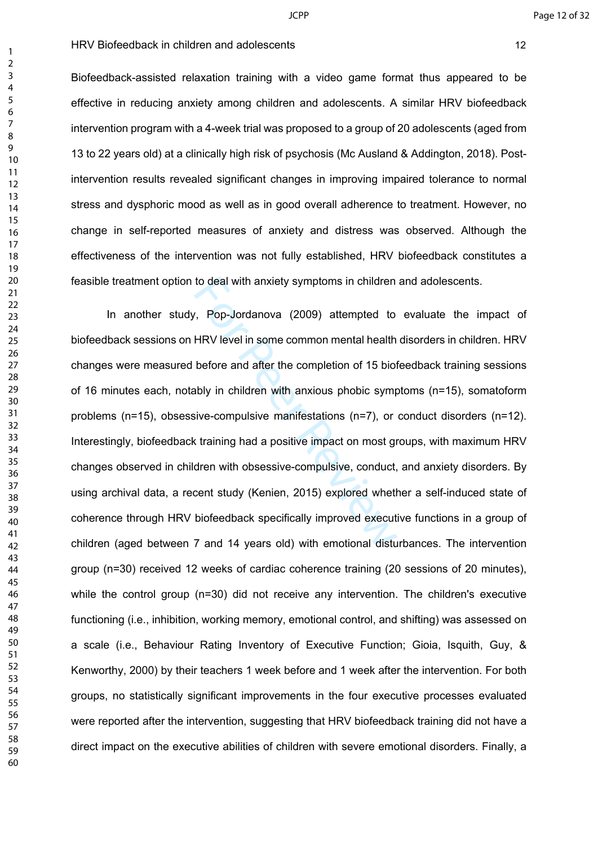Biofeedback-assisted relaxation training with a video game format thus appeared to be effective in reducing anxiety among children and adolescents. A similar HRV biofeedback intervention program with a 4-week trial was proposed to a group of 20 adolescents (aged from 13 to 22 years old) at a clinically high risk of psychosis (Mc Ausland & Addington, 2018). Postintervention results revealed significant changes in improving impaired tolerance to normal stress and dysphoric mood as well as in good overall adherence to treatment. However, no change in self-reported measures of anxiety and distress was observed. Although the effectiveness of the intervention was not fully established, HRV biofeedback constitutes a feasible treatment option to deal with anxiety symptoms in children and adolescents.

to deal with anxiety symptoms in children<br>
7, Pop-Jordanova (2009) attempted to<br>
HRV level in some common mental health<br>
before and after the completion of 15 biot<br>
ably in children with anxious phobic symptoms<br>
sive-compu In another study, Pop-Jordanova (2009) attempted to evaluate the impact of biofeedback sessions on HRV level in some common mental health disorders in children. HRV changes were measured before and after the completion of 15 biofeedback training sessions of 16 minutes each, notably in children with anxious phobic symptoms (n=15), somatoform problems (n=15), obsessive-compulsive manifestations (n=7), or conduct disorders (n=12). Interestingly, biofeedback training had a positive impact on most groups, with maximum HRV changes observed in children with obsessive-compulsive, conduct, and anxiety disorders. By using archival data, a recent study (Kenien, 2015) explored whether a self-induced state of coherence through HRV biofeedback specifically improved executive functions in a group of children (aged between 7 and 14 years old) with emotional disturbances. The intervention group (n=30) received 12 weeks of cardiac coherence training (20 sessions of 20 minutes), while the control group (n=30) did not receive any intervention. The children's executive functioning (i.e., inhibition, working memory, emotional control, and shifting) was assessed on a scale (i.e., Behaviour Rating Inventory of Executive Function; Gioia, Isquith, Guy, & Kenworthy, 2000) by their teachers 1 week before and 1 week after the intervention. For both groups, no statistically significant improvements in the four executive processes evaluated were reported after the intervention, suggesting that HRV biofeedback training did not have a direct impact on the executive abilities of children with severe emotional disorders. Finally, a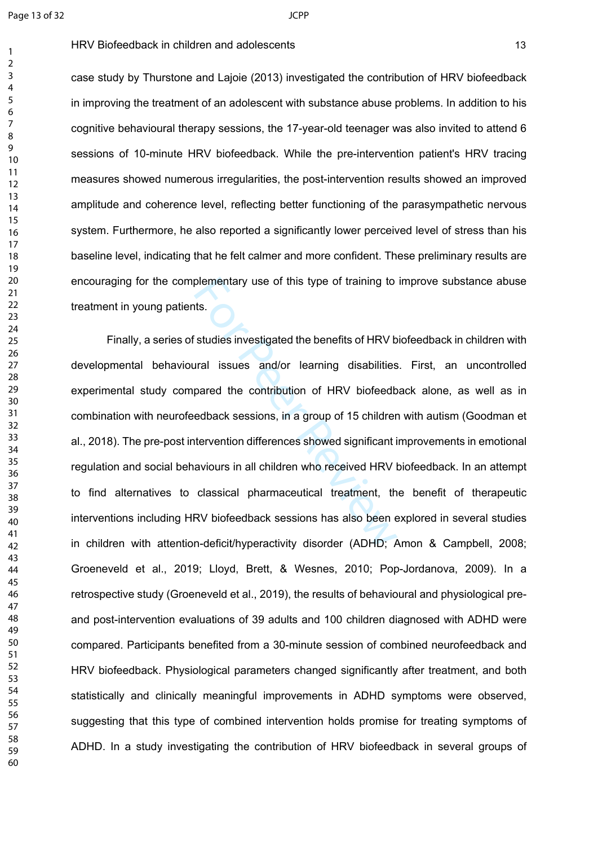$\mathbf{1}$ 

HRV Biofeedback in children and adolescents 13

case study by Thurstone and Lajoie (2013) investigated the contribution of HRV biofeedback in improving the treatment of an adolescent with substance abuse problems. In addition to his cognitive behavioural therapy sessions, the 17-year-old teenager was also invited to attend 6 sessions of 10-minute HRV biofeedback. While the pre-intervention patient's HRV tracing measures showed numerous irregularities, the post-intervention results showed an improved amplitude and coherence level, reflecting better functioning of the parasympathetic nervous system. Furthermore, he also reported a significantly lower perceived level of stress than his baseline level, indicating that he felt calmer and more confident. These preliminary results are encouraging for the complementary use of this type of training to improve substance abuse treatment in young patients.

plementary use of this type of training to<br>thats.<br>Studies investigated the benefits of HRV b<br>ural issues and/or learning disabilities<br>pared the contribution of HRV biofeedb<br>edback sessions, in a group of 15 childrer<br>terven Finally, a series of studies investigated the benefits of HRV biofeedback in children with developmental behavioural issues and/or learning disabilities. First, an uncontrolled experimental study compared the contribution of HRV biofeedback alone, as well as in combination with neurofeedback sessions, in a group of 15 children with autism (Goodman et al., 2018). The pre-post intervention differences showed significant improvements in emotional regulation and social behaviours in all children who received HRV biofeedback. In an attempt to find alternatives to classical pharmaceutical treatment, the benefit of therapeutic interventions including HRV biofeedback sessions has also been explored in several studies in children with attention-deficit/hyperactivity disorder (ADHD; Amon & Campbell, 2008; Groeneveld et al., 2019; Lloyd, Brett, & Wesnes, 2010; Pop-Jordanova, 2009). In a retrospective study (Groeneveld et al., 2019), the results of behavioural and physiological preand post-intervention evaluations of 39 adults and 100 children diagnosed with ADHD were compared. Participants benefited from a 30-minute session of combined neurofeedback and HRV biofeedback. Physiological parameters changed significantly after treatment, and both statistically and clinically meaningful improvements in ADHD symptoms were observed, suggesting that this type of combined intervention holds promise for treating symptoms of ADHD. In a study investigating the contribution of HRV biofeedback in several groups of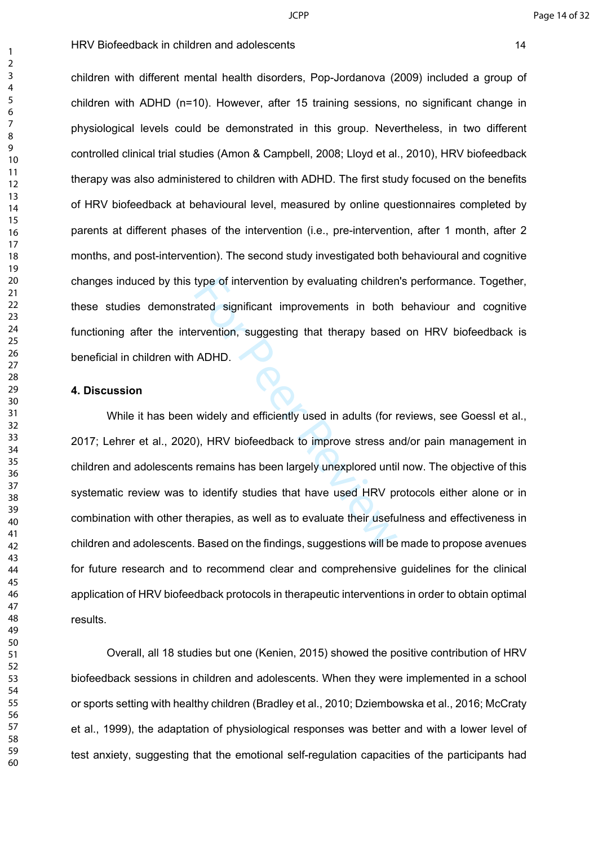children with different mental health disorders, Pop-Jordanova (2009) included a group of children with ADHD (n=10). However, after 15 training sessions, no significant change in physiological levels could be demonstrated in this group. Nevertheless, in two different controlled clinical trial studies (Amon & Campbell, 2008; Lloyd et al., 2010), HRV biofeedback therapy was also administered to children with ADHD. The first study focused on the benefits of HRV biofeedback at behavioural level, measured by online questionnaires completed by parents at different phases of the intervention (i.e., pre-intervention, after 1 month, after 2 months, and post-intervention). The second study investigated both behavioural and cognitive changes induced by this type of intervention by evaluating children's performance. Together, these studies demonstrated significant improvements in both behaviour and cognitive functioning after the intervention, suggesting that therapy based on HRV biofeedback is beneficial in children with ADHD.

#### **4. Discussion**

type of intervention by evaluating childrer<br>ated significant improvements in both<br>ervention, suggesting that therapy based<br>ADHD.<br>widely and efficiently used in adults (for r<br>0), HRV biofeedback to improve stress ar<br>remains While it has been widely and efficiently used in adults (for reviews, see Goessl et al., 2017; Lehrer et al., 2020), HRV biofeedback to improve stress and/or pain management in children and adolescents remains has been largely unexplored until now. The objective of this systematic review was to identify studies that have used HRV protocols either alone or in combination with other therapies, as well as to evaluate their usefulness and effectiveness in children and adolescents. Based on the findings, suggestions will be made to propose avenues for future research and to recommend clear and comprehensive guidelines for the clinical application of HRV biofeedback protocols in therapeutic interventions in order to obtain optimal results.

Overall, all 18 studies but one (Kenien, 2015) showed the positive contribution of HRV biofeedback sessions in children and adolescents. When they were implemented in a school or sports setting with healthy children (Bradley et al., 2010; Dziembowska et al., 2016; McCraty et al., 1999), the adaptation of physiological responses was better and with a lower level of test anxiety, suggesting that the emotional self-regulation capacities of the participants had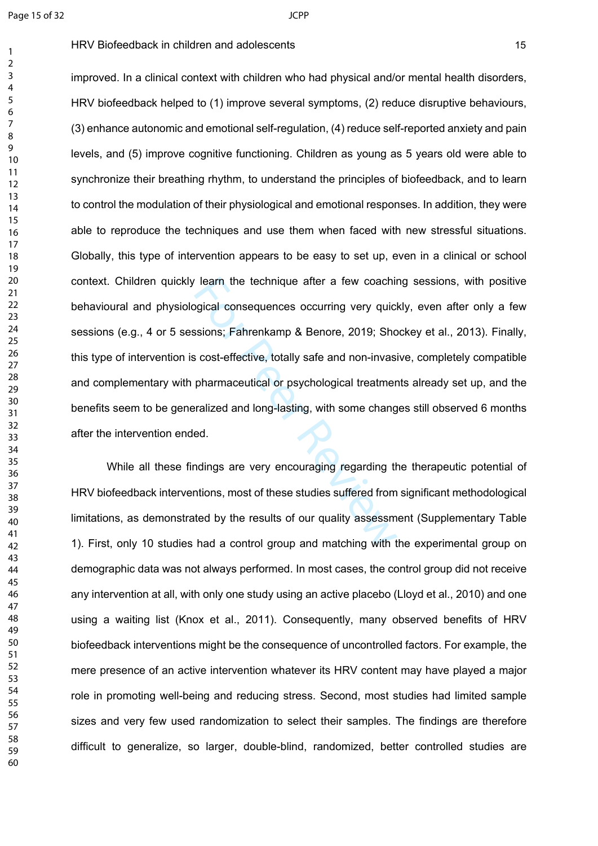$\mathbf{1}$  $\overline{2}$  $\overline{4}$  $\overline{7}$ 

Frem the technique after a few coachinour contrined after a few coachinour divided consequences occurring very quick<br>sisions; Fahrenkamp & Benore, 2019; Sho<br>s cost-effective, totally safe and non-invas<br>pharmaceutical or ps improved. In a clinical context with children who had physical and/or mental health disorders, HRV biofeedback helped to (1) improve several symptoms, (2) reduce disruptive behaviours, (3) enhance autonomic and emotional self-regulation, (4) reduce self-reported anxiety and pain levels, and (5) improve cognitive functioning. Children as young as 5 years old were able to synchronize their breathing rhythm, to understand the principles of biofeedback, and to learn to control the modulation of their physiological and emotional responses. In addition, they were able to reproduce the techniques and use them when faced with new stressful situations. Globally, this type of intervention appears to be easy to set up, even in a clinical or school context. Children quickly learn the technique after a few coaching sessions, with positive behavioural and physiological consequences occurring very quickly, even after only a few sessions (e.g., 4 or 5 sessions; Fahrenkamp & Benore, 2019; Shockey et al., 2013). Finally, this type of intervention is cost-effective, totally safe and non-invasive, completely compatible and complementary with pharmaceutical or psychological treatments already set up, and the benefits seem to be generalized and long-lasting, with some changes still observed 6 months after the intervention ended.

While all these findings are very encouraging regarding the therapeutic potential of HRV biofeedback interventions, most of these studies suffered from significant methodological limitations, as demonstrated by the results of our quality assessment (Supplementary Table 1). First, only 10 studies had a control group and matching with the experimental group on demographic data was not always performed. In most cases, the control group did not receive any intervention at all, with only one study using an active placebo (Lloyd et al., 2010) and one using a waiting list (Knox et al., 2011). Consequently, many observed benefits of HRV biofeedback interventions might be the consequence of uncontrolled factors. For example, the mere presence of an active intervention whatever its HRV content may have played a major role in promoting well-being and reducing stress. Second, most studies had limited sample sizes and very few used randomization to select their samples. The findings are therefore difficult to generalize, so larger, double-blind, randomized, better controlled studies are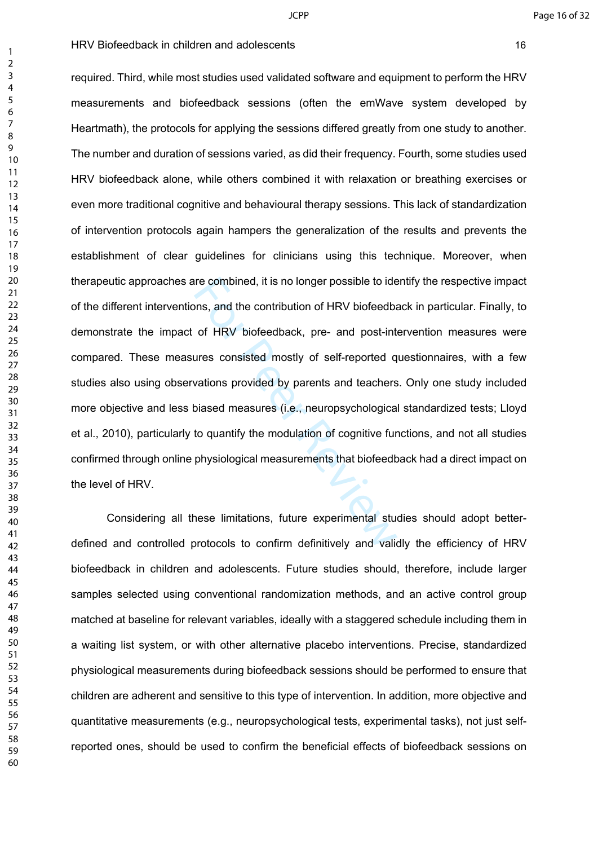re combined, it is no longer possible to ide<br>ons, and the contribution of HRV biofeedba<br>of HRV biofeedback, pre- and post-int<br>ures consisted mostly of self-reported q<br>vations provided by parents and teachers<br>biased measure required. Third, while most studies used validated software and equipment to perform the HRV measurements and biofeedback sessions (often the emWave system developed by Heartmath), the protocols for applying the sessions differed greatly from one study to another. The number and duration of sessions varied, as did their frequency. Fourth, some studies used HRV biofeedback alone, while others combined it with relaxation or breathing exercises or even more traditional cognitive and behavioural therapy sessions. This lack of standardization of intervention protocols again hampers the generalization of the results and prevents the establishment of clear guidelines for clinicians using this technique. Moreover, when therapeutic approaches are combined, it is no longer possible to identify the respective impact of the different interventions, and the contribution of HRV biofeedback in particular. Finally, to demonstrate the impact of HRV biofeedback, pre- and post-intervention measures were compared. These measures consisted mostly of self-reported questionnaires, with a few studies also using observations provided by parents and teachers. Only one study included more objective and less biased measures (i.e., neuropsychological standardized tests; Lloyd et al., 2010), particularly to quantify the modulation of cognitive functions, and not all studies confirmed through online physiological measurements that biofeedback had a direct impact on the level of HRV.

Considering all these limitations, future experimental studies should adopt betterdefined and controlled protocols to confirm definitively and validly the efficiency of HRV biofeedback in children and adolescents. Future studies should, therefore, include larger samples selected using conventional randomization methods, and an active control group matched at baseline for relevant variables, ideally with a staggered schedule including them in a waiting list system, or with other alternative placebo interventions. Precise, standardized physiological measurements during biofeedback sessions should be performed to ensure that children are adherent and sensitive to this type of intervention. In addition, more objective and quantitative measurements (e.g., neuropsychological tests, experimental tasks), not just selfreported ones, should be used to confirm the beneficial effects of biofeedback sessions on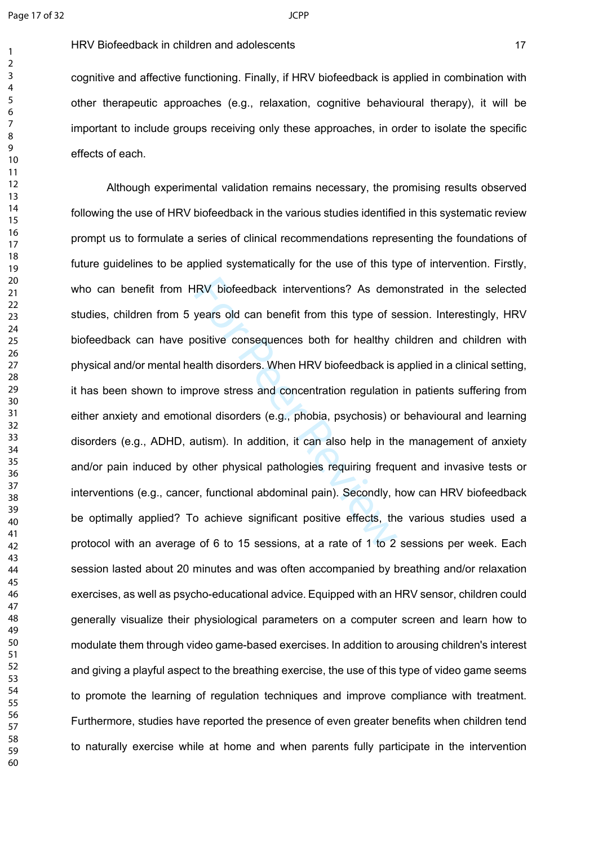#### HRV Biofeedback in children and adolescents 17 and 17 and 17 and 17 and 17 and 17 and 17 and 17 and 17 and 17 and 17 and 17 and 17 and 17 and 17 and 17 and 17 and 17 and 17 and 17 and 17 and 17 and 17 and 17 and 17 and 17

cognitive and affective functioning. Finally, if HRV biofeedback is applied in combination with other therapeutic approaches (e.g., relaxation, cognitive behavioural therapy), it will be important to include groups receiving only these approaches, in order to isolate the specific effects of each.

IRV biofeedback interventions? As dem<br>years old can benefit from this type of s<br>oositive consequences both for healthy c<br>alth disorders. When HRV biofeedback is<br>prove stress and concentration regulation<br>onal disorders (e.g Although experimental validation remains necessary, the promising results observed following the use of HRV biofeedback in the various studies identified in this systematic review prompt us to formulate a series of clinical recommendations representing the foundations of future guidelines to be applied systematically for the use of this type of intervention. Firstly, who can benefit from HRV biofeedback interventions? As demonstrated in the selected studies, children from 5 years old can benefit from this type of session. Interestingly, HRV biofeedback can have positive consequences both for healthy children and children with physical and/or mental health disorders. When HRV biofeedback is applied in a clinical setting, it has been shown to improve stress and concentration regulation in patients suffering from either anxiety and emotional disorders (e.g., phobia, psychosis) or behavioural and learning disorders (e.g., ADHD, autism). In addition, it can also help in the management of anxiety and/or pain induced by other physical pathologies requiring frequent and invasive tests or interventions (e.g., cancer, functional abdominal pain). Secondly, how can HRV biofeedback be optimally applied? To achieve significant positive effects, the various studies used a protocol with an average of 6 to 15 sessions, at a rate of 1 to 2 sessions per week. Each session lasted about 20 minutes and was often accompanied by breathing and/or relaxation exercises, as well as psycho-educational advice. Equipped with an HRV sensor, children could generally visualize their physiological parameters on a computer screen and learn how to modulate them through video game-based exercises. In addition to arousing children's interest and giving a playful aspect to the breathing exercise, the use of this type of video game seems to promote the learning of regulation techniques and improve compliance with treatment. Furthermore, studies have reported the presence of even greater benefits when children tend to naturally exercise while at home and when parents fully participate in the intervention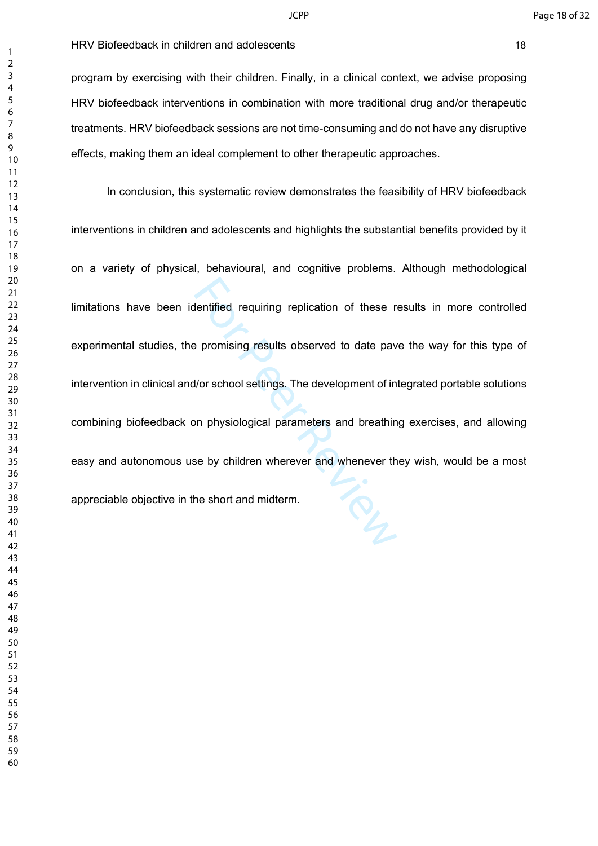program by exercising with their children. Finally, in a clinical context, we advise proposing HRV biofeedback interventions in combination with more traditional drug and/or therapeutic treatments. HRV biofeedback sessions are not time-consuming and do not have any disruptive effects, making them an ideal complement to other therapeutic approaches.

entified requiring replication of these real dentified requiring replication of these real promising results observed to date pay and the pay and the pay and proposition of the short and midterm. In conclusion, this systematic review demonstrates the feasibility of HRV biofeedback interventions in children and adolescents and highlights the substantial benefits provided by it on a variety of physical, behavioural, and cognitive problems. Although methodological limitations have been identified requiring replication of these results in more controlled experimental studies, the promising results observed to date pave the way for this type of intervention in clinical and/or school settings. The development of integrated portable solutions combining biofeedback on physiological parameters and breathing exercises, and allowing easy and autonomous use by children wherever and whenever they wish, would be a most appreciable objective in the short and midterm.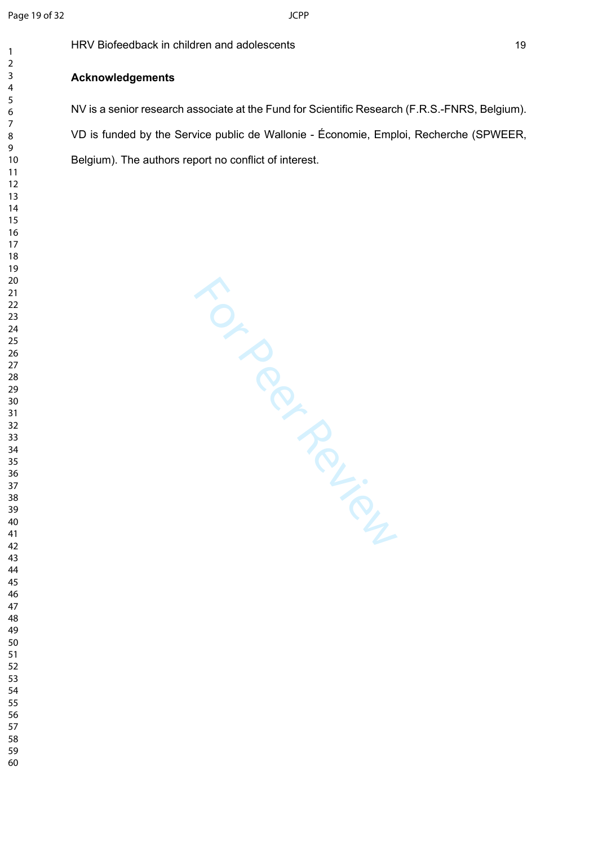$\mathbf{1}$ 

HRV Biofeedback in children and adolescents 19

### **Acknowledgements**

NV is a senior research associate at the Fund for Scientific Research (F.R.S.-FNRS, Belgium). VD is funded by the Service public de Wallonie - Économie, Emploi, Recherche (SPWEER, Belgium). The authors report no conflict of interest.

For Per Ferrier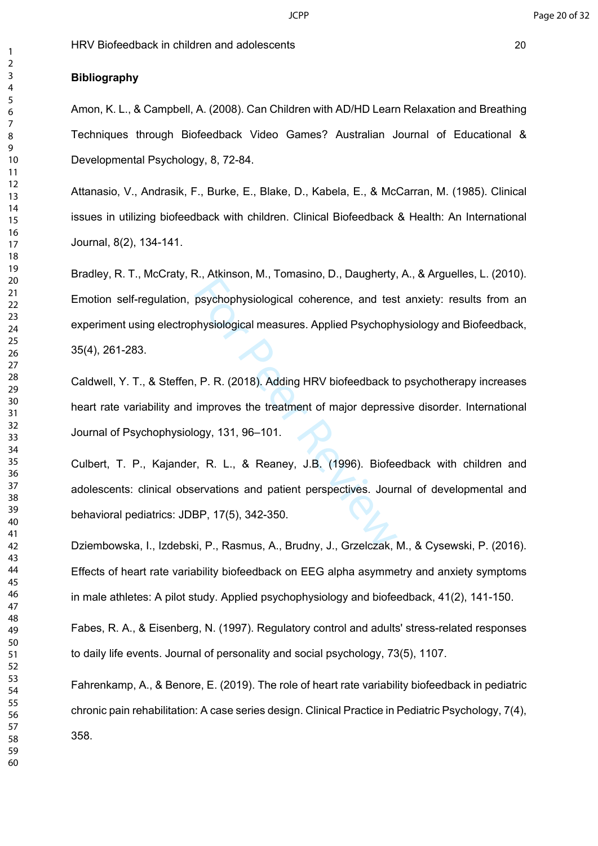## **Bibliography**

Amon, K. L., & Campbell, A. (2008). Can Children with AD/HD Learn Relaxation and Breathing Techniques through Biofeedback Video Games? Australian Journal of Educational & Developmental Psychology, 8, 72-84.

Attanasio, V., Andrasik, F., Burke, E., Blake, D., Kabela, E., & McCarran, M. (1985). Clinical issues in utilizing biofeedback with children. Clinical Biofeedback & Health: An International Journal, 8(2), 134-141.

reviewing the process of the properties of the physiological measures. Applied Psychoph<br>physiological measures. Applied Psychoph<br>P. P. R. (2018). Adding HRV biofeedback to<br>improves the treatment of major depress<br>ogy, 131, Bradley, R. T., McCraty, R., Atkinson, M., Tomasino, D., Daugherty, A., & Arguelles, L. (2010). Emotion self-regulation, psychophysiological coherence, and test anxiety: results from an experiment using electrophysiological measures. Applied Psychophysiology and Biofeedback, 35(4), 261-283.

Caldwell, Y. T., & Steffen, P. R. (2018). Adding HRV biofeedback to psychotherapy increases heart rate variability and improves the treatment of major depressive disorder. International Journal of Psychophysiology, 131, 96–101.

Culbert, T. P., Kajander, R. L., & Reaney, J.B. (1996). Biofeedback with children and adolescents: clinical observations and patient perspectives. Journal of developmental and behavioral pediatrics: JDBP, 17(5), 342-350.

Dziembowska, I., Izdebski, P., Rasmus, A., Brudny, J., Grzelczak, M., & Cysewski, P. (2016). Effects of heart rate variability biofeedback on EEG alpha asymmetry and anxiety symptoms in male athletes: A pilot study. Applied psychophysiology and biofeedback, 41(2), 141-150.

Fabes, R. A., & Eisenberg, N. (1997). Regulatory control and adults' stress-related responses to daily life events. Journal of personality and social psychology, 73(5), 1107.

Fahrenkamp, A., & Benore, E. (2019). The role of heart rate variability biofeedback in pediatric chronic pain rehabilitation: A case series design. Clinical Practice in Pediatric Psychology, 7(4), 358.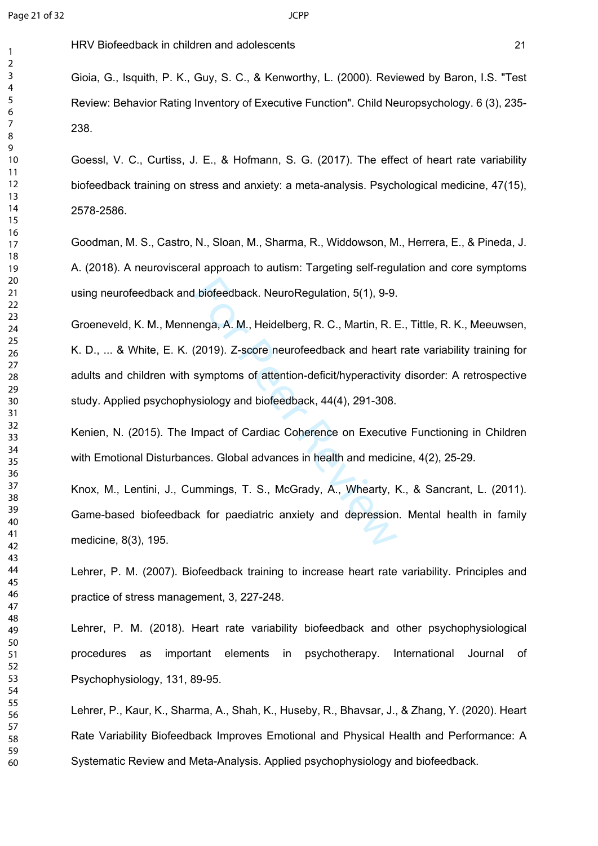Gioia, G., Isquith, P. K., Guy, S. C., & Kenworthy, L. (2000). Reviewed by Baron, I.S. "Test Review: Behavior Rating Inventory of Executive Function". Child Neuropsychology. 6 (3), 235- 238.

Goessl, V. C., Curtiss, J. E., & Hofmann, S. G. (2017). The effect of heart rate variability biofeedback training on stress and anxiety: a meta-analysis. Psychological medicine, 47(15), 2578-2586.

Goodman, M. S., Castro, N., Sloan, M., Sharma, R., Widdowson, M., Herrera, E., & Pineda, J. A. (2018). A neurovisceral approach to autism: Targeting self-regulation and core symptoms using neurofeedback and biofeedback. NeuroRegulation, 5(1), 9-9.

biofeedback. NeuroRegulation, 5(1), 9-9.<br>enga, A. M., Heidelberg, R. C., Martin, R. E<br>(2019). Z-score neurofeedback and heart<br>symptoms of attention-deficit/hyperactivity<br>vsiology and biofeedback, 44(4), 291-308.<br>mpact of C Groeneveld, K. M., Mennenga, A. M., Heidelberg, R. C., Martin, R. E., Tittle, R. K., Meeuwsen, K. D., ... & White, E. K. (2019). Z-score neurofeedback and heart rate variability training for adults and children with symptoms of attention-deficit/hyperactivity disorder: A retrospective study. Applied psychophysiology and biofeedback, 44(4), 291-308.

Kenien, N. (2015). The Impact of Cardiac Coherence on Executive Functioning in Children with Emotional Disturbances. Global advances in health and medicine, 4(2), 25-29.

Knox, M., Lentini, J., Cummings, T. S., McGrady, A., Whearty, K., & Sancrant, L. (2011). Game-based biofeedback for paediatric anxiety and depression. Mental health in family medicine, 8(3), 195.

Lehrer, P. M. (2007). Biofeedback training to increase heart rate variability. Principles and practice of stress management, 3, 227-248.

Lehrer, P. M. (2018). Heart rate variability biofeedback and other psychophysiological procedures as important elements in psychotherapy. International Journal of Psychophysiology, 131, 89-95.

Lehrer, P., Kaur, K., Sharma, A., Shah, K., Huseby, R., Bhavsar, J., & Zhang, Y. (2020). Heart Rate Variability Biofeedback Improves Emotional and Physical Health and Performance: A Systematic Review and Meta-Analysis. Applied psychophysiology and biofeedback.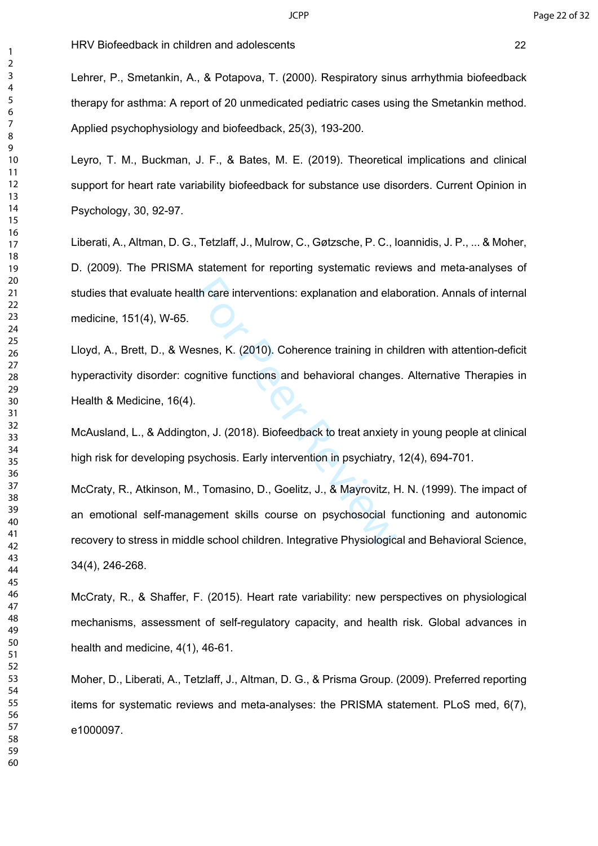Lehrer, P., Smetankin, A., & Potapova, T. (2000). Respiratory sinus arrhythmia biofeedback therapy for asthma: A report of 20 unmedicated pediatric cases using the Smetankin method. Applied psychophysiology and biofeedback, 25(3), 193-200.

Leyro, T. M., Buckman, J. F., & Bates, M. E. (2019). Theoretical implications and clinical support for heart rate variability biofeedback for substance use disorders. Current Opinion in Psychology, 30, 92-97.

Liberati, A., Altman, D. G., Tetzlaff, J., Mulrow, C., Gøtzsche, P. C., Ioannidis, J. P., ... & Moher, D. (2009). The PRISMA statement for reporting systematic reviews and meta-analyses of studies that evaluate health care interventions: explanation and elaboration. Annals of internal medicine, 151(4), W-65.

Lloyd, A., Brett, D., & Wesnes, K. (2010). Coherence training in children with attention-deficit hyperactivity disorder: cognitive functions and behavioral changes. Alternative Therapies in Health & Medicine, 16(4).

McAusland, L., & Addington, J. (2018). Biofeedback to treat anxiety in young people at clinical high risk for developing psychosis. Early intervention in psychiatry, 12(4), 694-701.

Ith care interventions: explanation and elal<br>
senes, K. (2010). Coherence training in ch<br>
ognitive functions and behavioral changes<br>
.<br>
.<br>
.<br>
.<br>
.<br>
.<br>
.<br>
Tomasino, D., Goelitz, J., & Mayrovitz, H<br>
gement skills course on p McCraty, R., Atkinson, M., Tomasino, D., Goelitz, J., & Mayrovitz, H. N. (1999). The impact of an emotional self-management skills course on psychosocial functioning and autonomic recovery to stress in middle school children. Integrative Physiological and Behavioral Science, 34(4), 246-268.

McCraty, R., & Shaffer, F. (2015). Heart rate variability: new perspectives on physiological mechanisms, assessment of self-regulatory capacity, and health risk. Global advances in health and medicine, 4(1), 46-61.

Moher, D., Liberati, A., Tetzlaff, J., Altman, D. G., & Prisma Group. (2009). Preferred reporting items for systematic reviews and meta-analyses: the PRISMA statement. PLoS med, 6(7), e1000097.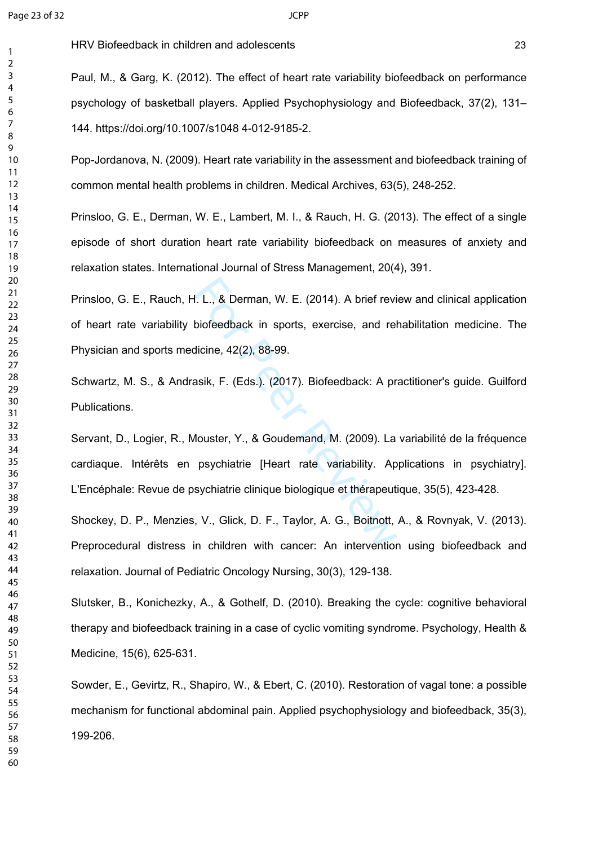$\mathbf{1}$ 

HRV Biofeedback in children and adolescents 23

Paul, M., & Garg, K. (2012). The effect of heart rate variability biofeedback on performance psychology of basketball players. Applied Psychophysiology and Biofeedback, 37(2), 131– 144. https://doi.org/10.1007/s1048 4-012-9185-2.

Pop-Jordanova, N. (2009). Heart rate variability in the assessment and biofeedback training of common mental health problems in children. Medical Archives, 63(5), 248-252.

Prinsloo, G. E., Derman, W. E., Lambert, M. I., & Rauch, H. G. (2013). The effect of a single episode of short duration heart rate variability biofeedback on measures of anxiety and relaxation states. International Journal of Stress Management, 20(4), 391.

I. L., & Derman, W. E. (2014). A brief revi<br>biofeedback in sports, exercise, and rel<br>dicine, 42(2), 88-99.<br>asik, F. (Eds.). (2017). Biofeedback: A pr<br>Mouster, Y., & Goudemand, M. (2009). La<br>psychiatrie [Heart rate variabil Prinsloo, G. E., Rauch, H. L., & Derman, W. E. (2014). A brief review and clinical application of heart rate variability biofeedback in sports, exercise, and rehabilitation medicine. The Physician and sports medicine, 42(2), 88-99.

Schwartz, M. S., & Andrasik, F. (Eds.). (2017). Biofeedback: A practitioner's guide. Guilford Publications.

Servant, D., Logier, R., Mouster, Y., & Goudemand, M. (2009). La variabilité de la fréquence cardiaque. Intérêts en psychiatrie [Heart rate variability. Applications in psychiatry]. L'Encéphale: Revue de psychiatrie clinique biologique et thérapeutique, 35(5), 423-428.

Shockey, D. P., Menzies, V., Glick, D. F., Taylor, A. G., Boitnott, A., & Rovnyak, V. (2013). Preprocedural distress in children with cancer: An intervention using biofeedback and relaxation. Journal of Pediatric Oncology Nursing, 30(3), 129-138.

Slutsker, B., Konichezky, A., & Gothelf, D. (2010). Breaking the cycle: cognitive behavioral therapy and biofeedback training in a case of cyclic vomiting syndrome. Psychology, Health & Medicine, 15(6), 625-631.

Sowder, E., Gevirtz, R., Shapiro, W., & Ebert, C. (2010). Restoration of vagal tone: a possible mechanism for functional abdominal pain. Applied psychophysiology and biofeedback, 35(3), 199-206.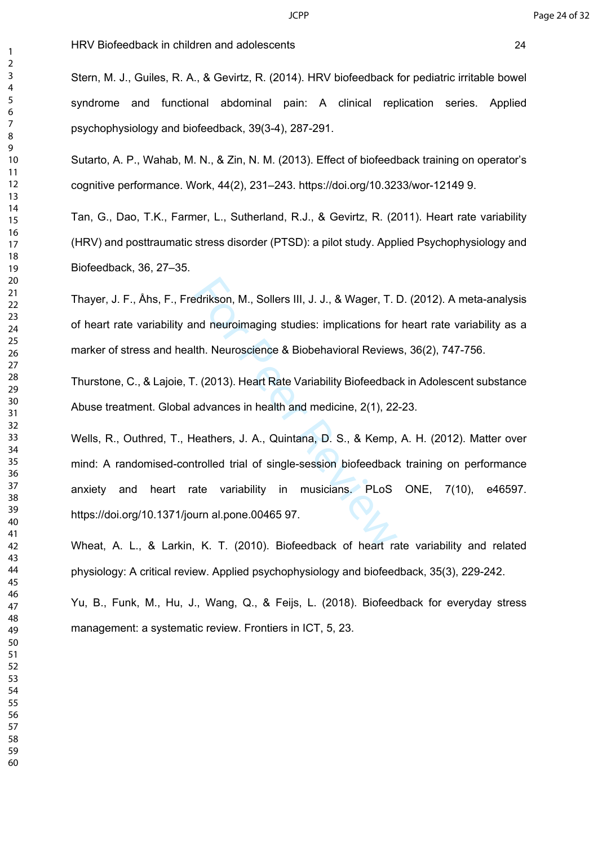Stern, M. J., Guiles, R. A., & Gevirtz, R. (2014). HRV biofeedback for pediatric irritable bowel syndrome and functional abdominal pain: A clinical replication series. Applied psychophysiology and biofeedback, 39(3-4), 287-291.

Sutarto, A. P., Wahab, M. N., & Zin, N. M. (2013). Effect of biofeedback training on operator's cognitive performance. Work, 44(2), 231–243. https://doi.org/10.3233/wor-12149 9.

Tan, G., Dao, T.K., Farmer, L., Sutherland, R.J., & Gevirtz, R. (2011). Heart rate variability (HRV) and posttraumatic stress disorder (PTSD): a pilot study. Applied Psychophysiology and Biofeedback, 36, 27–35.

Thayer, J. F., Åhs, F., Fredrikson, M., Sollers III, J. J., & Wager, T. D. (2012). A meta-analysis of heart rate variability and neuroimaging studies: implications for heart rate variability as a marker of stress and health. Neuroscience & Biobehavioral Reviews, 36(2), 747-756.

Thurstone, C., & Lajoie, T. (2013). Heart Rate Variability Biofeedback in Adolescent substance Abuse treatment. Global advances in health and medicine, 2(1), 22-23.

edrikson, M., Sollers III, J. J., & Wager, T. I<br>nd neuroimaging studies: implications for<br>lth. Neuroscience & Biobehavioral Review<br>. (2013). Heart Rate Variability Biofeedbac<br>advances in health and medicine, 2(1), 22<br>leath Wells, R., Outhred, T., Heathers, J. A., Quintana, D. S., & Kemp, A. H. (2012). Matter over mind: A randomised-controlled trial of single-session biofeedback training on performance anxiety and heart rate variability in musicians. PLoS ONE, 7(10), e46597. https://doi.org/10.1371/journ al.pone.00465 97.

Wheat, A. L., & Larkin, K. T. (2010). Biofeedback of heart rate variability and related physiology: A critical review. Applied psychophysiology and biofeedback, 35(3), 229-242.

Yu, B., Funk, M., Hu, J., Wang, Q., & Feijs, L. (2018). Biofeedback for everyday stress management: a systematic review. Frontiers in ICT, 5, 23.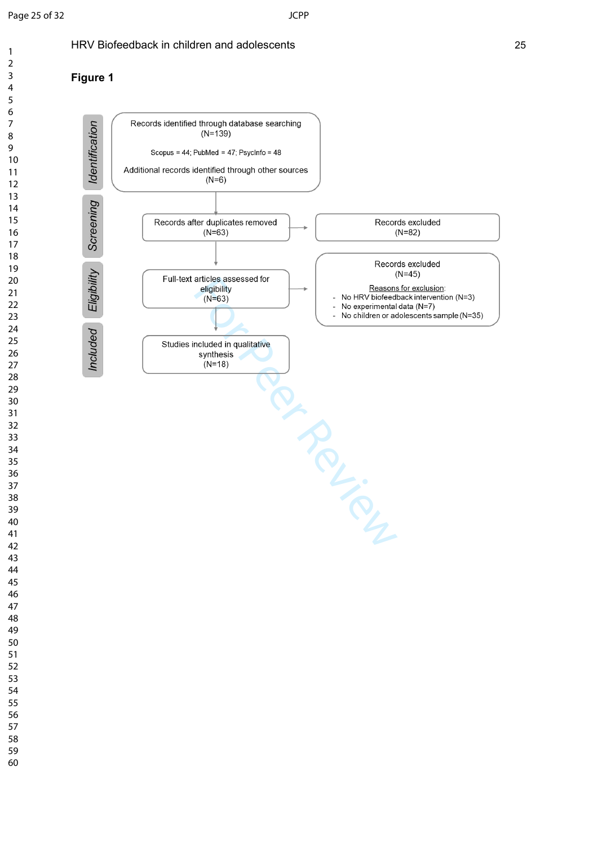$\mathbf{1}$  $\overline{2}$ 

**Figure 1**

## HRV Biofeedback in children and adolescents 25



#### $\overline{3}$  $\overline{4}$  $\overline{7}$  $\overline{9}$

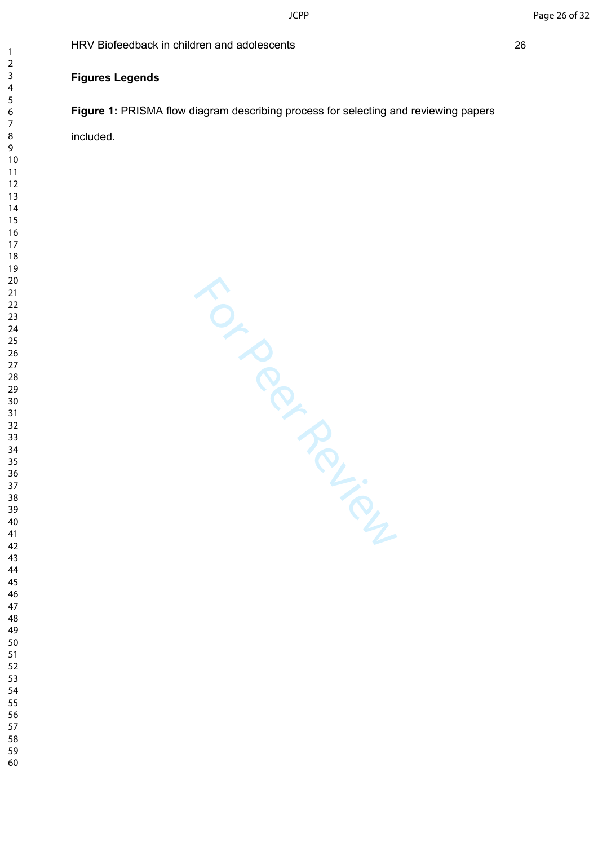## **Figures Legends**

**Figure 1:** PRISMA flow diagram describing process for selecting and reviewing papers included.

For Per Ferrier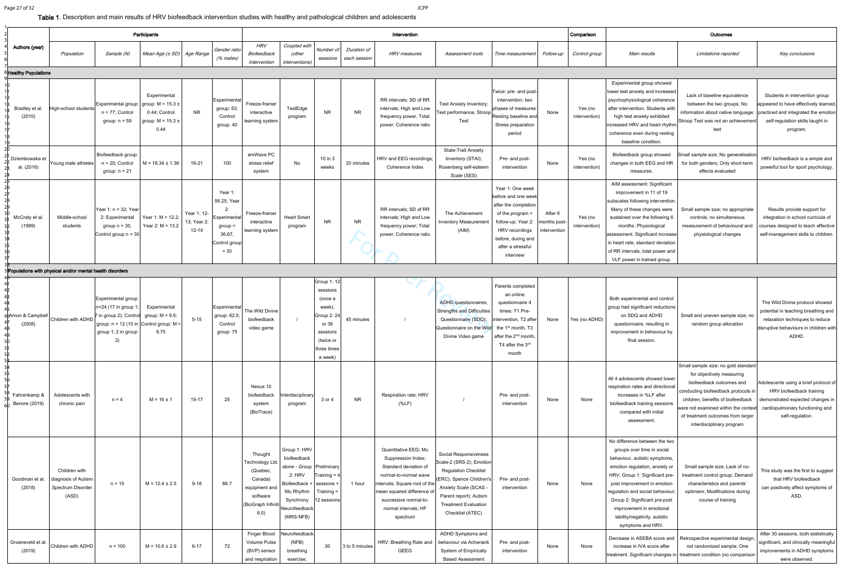|                               | Participants                                                       |                                                                                                                                                                    |                                                                |                                     |                                                                                                |                                                                                                              | Intervention                                                                                                                               |                                                                                                                         |                             |                                                                                                                                                                                                                          |                                                                                                                                                                                                                    | Comparison                                                                                                                                                                          |                                          | Outcomes                 |                                                                                                                                                                                                                                                                                                                                                       |                                                                                                                                                                                                                                                                                    |                                                                                                                                                                 |
|-------------------------------|--------------------------------------------------------------------|--------------------------------------------------------------------------------------------------------------------------------------------------------------------|----------------------------------------------------------------|-------------------------------------|------------------------------------------------------------------------------------------------|--------------------------------------------------------------------------------------------------------------|--------------------------------------------------------------------------------------------------------------------------------------------|-------------------------------------------------------------------------------------------------------------------------|-----------------------------|--------------------------------------------------------------------------------------------------------------------------------------------------------------------------------------------------------------------------|--------------------------------------------------------------------------------------------------------------------------------------------------------------------------------------------------------------------|-------------------------------------------------------------------------------------------------------------------------------------------------------------------------------------|------------------------------------------|--------------------------|-------------------------------------------------------------------------------------------------------------------------------------------------------------------------------------------------------------------------------------------------------------------------------------------------------------------------------------------------------|------------------------------------------------------------------------------------------------------------------------------------------------------------------------------------------------------------------------------------------------------------------------------------|-----------------------------------------------------------------------------------------------------------------------------------------------------------------|
| Authors (year)                | Population                                                         | Sample (N)                                                                                                                                                         | Mean Age (± SD)   Age Range                                    |                                     | Gender ratio<br>(% males)                                                                      | <b>HRV</b><br>Biofeedback<br>Intervention                                                                    | Coupled with<br>(other<br><i>interventions)</i>                                                                                            | Number of<br>sessions                                                                                                   | Duration of<br>each session | HRV measures                                                                                                                                                                                                             | Assessment tools                                                                                                                                                                                                   | Time measurement                                                                                                                                                                    | Follow-up                                | Control group            | Main results                                                                                                                                                                                                                                                                                                                                          | Limitations reported                                                                                                                                                                                                                                                               | Key conclusions                                                                                                                                                 |
| 8 Healthy Populations         |                                                                    |                                                                                                                                                                    |                                                                |                                     |                                                                                                |                                                                                                              |                                                                                                                                            |                                                                                                                         |                             |                                                                                                                                                                                                                          |                                                                                                                                                                                                                    |                                                                                                                                                                                     |                                          |                          |                                                                                                                                                                                                                                                                                                                                                       |                                                                                                                                                                                                                                                                                    |                                                                                                                                                                 |
| Bradley et al.<br>(2010)      | High-school students                                               | Experimental group: $ $ group: M = 15.3 $\pm$<br>$n = 77$ ; Control<br>group: $n = 59$                                                                             | Experimental<br>0.44; Control<br>group: $M = 15.3 \pm$<br>0.44 | <b>NR</b>                           | Experimental<br>group: 53;<br>Control<br>group: 40                                             | Freeze-framer<br>interactive<br>learning system                                                              | TestEdge<br>program                                                                                                                        | NR                                                                                                                      | <b>NR</b>                   | RR intervals; SD of RR<br>intervals; High and Low<br>frequency power, Total<br>power; Coherence ratio                                                                                                                    | Test Anxiety Inventory;<br>Test performance; Stroop<br>Test                                                                                                                                                        | Twice: pre- and post-<br>intervention; two<br>phases of measures:<br>Resting baseline and<br>Stress preparation<br>period                                                           | None                                     | Yes (no<br>intervention) | Experimental group showed<br>lower test anxiety and increased<br>psychophysiological coherence<br>after intervention. Students with<br>high test anxiety exhibited<br>increased HRV and heart rhythm<br>coherence even during resting<br>baseline condition.                                                                                          | Lack of baseline equivalence<br>between the two groups; No<br>information about native language;<br>Stroop Test was not an achievement<br>test                                                                                                                                     | Students in intervention group<br>appeared to have effectively learned,<br>practiced and integrated the emotion<br>self-regulation skills taught in<br>program. |
| Dziembowska et<br>al. (2016)  | Young male athletes                                                | Biofeedback group:<br>$n = 20$ ; Control<br>group: $n = 21$                                                                                                        | $M = 18.34 \pm 1.36$                                           | $16 - 21$                           | 100                                                                                            | emWave PC<br>stress relief<br>system                                                                         | No                                                                                                                                         | $10$ in $3$<br>weeks                                                                                                    | 20 minutes                  | HRV and EEG recordings;<br>Coherence Index                                                                                                                                                                               | <b>State-Trait Anxiety</b><br>Inventory (STAI);<br>Rosenberg self-esteem<br>Scale (SES)                                                                                                                            | Pre- and post-<br>intervention                                                                                                                                                      | None                                     | Yes (no<br>intervention) | Biofeedback group showed<br>changes in both EEG and HR<br>measures.                                                                                                                                                                                                                                                                                   | Small sample size; No generalisation<br>for both genders; Only short-term<br>effects evaluated                                                                                                                                                                                     | HRV biofeedback is a simple and<br>powerful tool for sport psychology.                                                                                          |
| McCraty et al<br>(1999)       | Middle-school<br>students                                          | Year 1: n = 32; Year<br>2: Experimental<br>group $n = 30$ ,<br>Control group $n = 30$                                                                              | Year 1: $M = 12.2$ ;<br>Year 2: $M = 13.2$                     | Year 1: 12-<br>13; Year 2:<br>12-14 | Year 1:<br>56.25; Year<br>2:<br>Experimental<br>$group =$<br>36.67,<br>Control group<br>$= 30$ | Freeze-framer<br>interactive<br>learning system                                                              | <b>Heart Smart</b><br>program                                                                                                              | <b>NR</b>                                                                                                               | <b>NR</b>                   | RR intervals; SD of RR<br>intervals; High and Low<br>frequency power; Total<br>power; Coherence ratio                                                                                                                    | The Achievement<br><b>Inventory Measurement</b><br>(AIM)                                                                                                                                                           | Year 1: One week<br>before and one week<br>after the completion<br>of the program +<br>follow-up; Year 2:<br>HRV recordings<br>before, during and<br>after a stressful<br>interview | After 6<br>Imonths post-<br>intervention | Yes (no<br>intervention) | AIM assessment: Significant<br>improvement in 11 of 19<br>subscales following intervention.<br>Many of these changes were<br>sustained over the following 6<br>months. Physiological<br>assessment: Significant increase<br>in heart rate, standard deviation<br>of RR intervals, total power and<br>VLF power in trained group.                      | Small sample size; no appropriate<br>controls; no simultaneous<br>measurement of behavioural and<br>physiological changes                                                                                                                                                          | Results provide support for<br>integration in school curricula of<br>courses designed to teach effective<br>self-management skills to children.                 |
|                               | 3 Populations with physical and/or mental health disorders         |                                                                                                                                                                    |                                                                |                                     |                                                                                                |                                                                                                              |                                                                                                                                            |                                                                                                                         |                             |                                                                                                                                                                                                                          |                                                                                                                                                                                                                    |                                                                                                                                                                                     |                                          |                          |                                                                                                                                                                                                                                                                                                                                                       |                                                                                                                                                                                                                                                                                    |                                                                                                                                                                 |
| 46Amon & Campbell<br>(2008)   | Children with ADHD                                                 | Experimental group:<br>n=24 (17 in group 1;<br>7 in group 2); Control group: $M = 9.5$ ;<br>group: $n = 12$ (10 in Control group: M =<br>group 1; 2 in group<br>2) | Experimental<br>8.75                                           | $5 - 15$                            | Experimental<br>group: 62.5;<br>Control<br>group: 75                                           | The Wild Divine<br>biofeedback<br>video game                                                                 |                                                                                                                                            | Group 1: 12<br>sessions<br>(once a<br>week);<br>Group 2: 24<br>or 36<br>sessions<br>(twice or<br>three times<br>a week) | 45 minutes                  |                                                                                                                                                                                                                          | ADHD questionnaires;<br><b>Strengths and Difficulties</b><br>Questionnaire (SDQ);<br>Questionnaire on the Wild the 1 <sup>st</sup> month, T3<br>Divine Video game                                                  | Parents completed<br>an online<br>questionnaire 4<br>times: T1 Pre-<br>intervention, T2 after<br>after the 2 <sup>nd</sup> month.<br>T4 after the 3rd<br>month                      | None                                     | Yes (no ADHD)            | Both experimental and control<br>group had significant reductions<br>on SDQ and ADHD<br>questionnaire, resulting in<br>improvement in behaviour by<br>final session                                                                                                                                                                                   | Small and uneven sample size; no<br>random group allocation                                                                                                                                                                                                                        | The Wild Divine protocol showed<br>potential in teaching breathing and<br>relaxation techniques to reduce<br>disruptive behaviours in children with<br>ADHD.    |
| Fahrenkamp &<br>Benore (2019) | Adolescents with<br>chronic pain                                   | $n = 4$                                                                                                                                                            | $M = 16 \pm 1$                                                 | $15 - 17$                           | 25                                                                                             | Nexus 10<br>biofeedback<br>system<br>(BioTrace)                                                              | hterdisciplinary<br>program                                                                                                                | 3 or 4                                                                                                                  | <b>NR</b>                   | Respiration rate; HRV<br>(%                                                                                                                                                                                              |                                                                                                                                                                                                                    | Pre- and post-<br>intervention                                                                                                                                                      | None                                     | None                     | All 4 adolescents showed lower<br>respiration rates and directional<br>increases in %LF after<br>biofeedback training sessions<br>compared with initial<br>assessment.                                                                                                                                                                                | Small sample size; no gold standard<br>for objectively measuring<br>biofeedback outcomes and<br>conducting biofeedback protocols in<br>children; benefits of biofeedback<br>were not examined within the context<br>of treatment outcomes from larger<br>interdisciplinary program | Adolescents using a brief protocol of<br>HRV biofeedback training<br>demonstrated expected changes in<br>cardiopulmonary functioning and<br>self-regulation.    |
| Goodman et al.<br>(2018)      | Children with<br>diagnosis of Autism<br>Spectrum Disorder<br>(ASD) | $n = 15$                                                                                                                                                           | $M = 12.4 \pm 2.5$                                             | $9 - 18$                            | 86.7                                                                                           | Thought<br>Technology Ltd.<br>(Quebec,<br>Canada)<br>equipment and<br>software<br>(BioGraph Infiniti<br>6.0) | Group 1: HRV<br>biofeedback<br>alone - Group Preliminary<br>2:HRV<br>Biofeedback +<br>Mu Rhythm<br>Synchrony<br>Neurofeedback<br>(MRS-NFB) | Training = $4$<br>sessions +<br>Training $=$<br>12 sessions                                                             | 1 hour                      | Quantitative EEG; Mu<br>Suppression Index;<br>Standard deviation of<br>normal-to-normal wave<br>intervals; Square root of the<br>mean squared difference of<br>successive normal-to-<br>normal intervals; HF<br>spectrum | Social Responsiveness<br>Scale-2 (SRS-2); Emotion<br><b>Regulation Checklist</b><br>(ERC); Spence Children's<br>Anxiety Scale (SCAS -<br>Parent report); Autism<br><b>Treatment Evaluation</b><br>Checklist (ATEC) | Pre- and post-<br>intervention                                                                                                                                                      | None                                     | None                     | No difference between the two<br>groups over time in social<br>behaviour, autistic symptoms,<br>emotion regulation, anxiety or<br>HRV; Group 1: Significant pre-<br>post improvement in emotion<br>regulation and social behaviour<br>Group 2: Significant pre-post<br>improvement in emotional<br>lability/negativity, autistic<br>symptoms and HRV. | Small sample size; Lack of no-<br>treatment control group; Demand<br>characteristics and parents'<br>optimism; Modifications during<br>course of training                                                                                                                          | This study was the first to suggest<br>that HRV biofeedback<br>can positively affect symptoms of<br><b>ASD</b>                                                  |
| Groeneveld et al.<br>(2019)   | Children with ADHD                                                 | $n = 100$                                                                                                                                                          | $M = 10.6 \pm 2.9$                                             | $6 - 17$                            | 72                                                                                             | Finger Blood   Neurofeedback<br>Volume Pulse<br>(BVP) sensor<br>and respiration                              | (NFB)<br>breathing<br>exercise;                                                                                                            | 30                                                                                                                      | $\vert$ 3 to 5 minutes      | HRV; Breathing Rate and<br>QEEG                                                                                                                                                                                          | ADHD Symptoms and<br>behaviour via Achenack<br><b>System of Empirically</b><br><b>Based Assessment</b>                                                                                                             | Pre- and post-<br>intervention                                                                                                                                                      | None                                     | None                     | Decrease in ASEBA score and<br>increase in IVA score after                                                                                                                                                                                                                                                                                            | Retrospective experimental design;<br>not randomized sample; One<br>treatment. Significant changes in treatment condition (no comparison                                                                                                                                           | After 30 sessions, both statistically<br>significant, and clinically meaningful<br>improvements in ADHD symptoms<br>were observed.                              |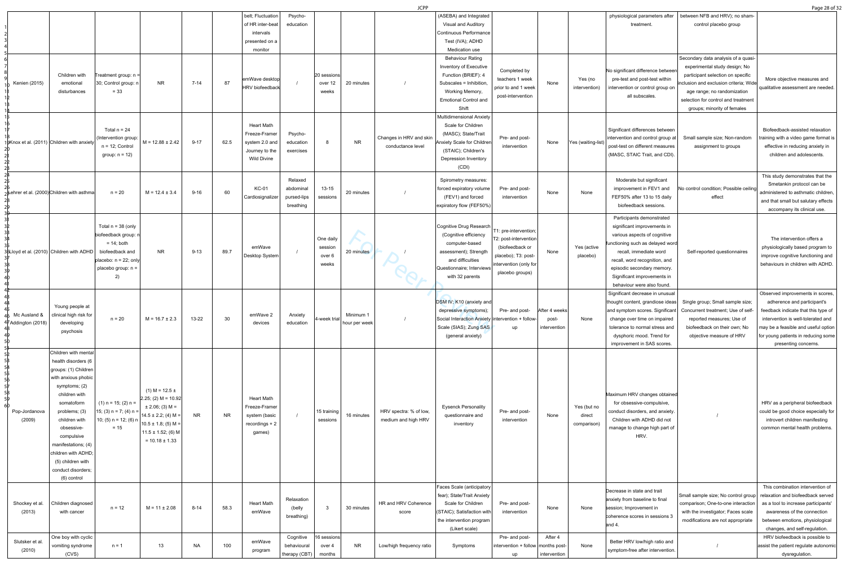|                                    |                                                                                                                                                                                                                                                                                                                  |                                                                                                                                        |                                                                                                                                                                               |           |           |                                                                                              |                                                  |                                         |                            | <b>JCPP</b>                                   |                                                                                                                                                                           |                                                                                                                                       |                                        |                                      |                                                                                                                                                                                                                                                                                    |                                                                                                                                                                                                                                                          | Page 28 of 32                                                                                                                                                                                                                                      |
|------------------------------------|------------------------------------------------------------------------------------------------------------------------------------------------------------------------------------------------------------------------------------------------------------------------------------------------------------------|----------------------------------------------------------------------------------------------------------------------------------------|-------------------------------------------------------------------------------------------------------------------------------------------------------------------------------|-----------|-----------|----------------------------------------------------------------------------------------------|--------------------------------------------------|-----------------------------------------|----------------------------|-----------------------------------------------|---------------------------------------------------------------------------------------------------------------------------------------------------------------------------|---------------------------------------------------------------------------------------------------------------------------------------|----------------------------------------|--------------------------------------|------------------------------------------------------------------------------------------------------------------------------------------------------------------------------------------------------------------------------------------------------------------------------------|----------------------------------------------------------------------------------------------------------------------------------------------------------------------------------------------------------------------------------------------------------|----------------------------------------------------------------------------------------------------------------------------------------------------------------------------------------------------------------------------------------------------|
|                                    |                                                                                                                                                                                                                                                                                                                  |                                                                                                                                        |                                                                                                                                                                               |           |           | belt; Fluctuation<br>of HR inter-beat<br>intervals<br>presented on a<br>monitor              | Psycho-<br>education                             |                                         |                            |                                               | (ASEBA) and Integrated<br>Visual and Auditory<br>Continuous Performance<br>Test (IVA); ADHD<br>Medication use                                                             |                                                                                                                                       |                                        |                                      | physiological parameters after<br>treatment.                                                                                                                                                                                                                                       | between NFB and HRV); no sham-<br>control placebo group                                                                                                                                                                                                  |                                                                                                                                                                                                                                                    |
| Kenien (2015)                      | Children with<br>emotional<br>disturbances                                                                                                                                                                                                                                                                       | Treatment group: n =<br>30; Control group: r<br>$= 33$                                                                                 | <b>NR</b>                                                                                                                                                                     | $7 - 14$  | 87        | emWave desktop<br>HRV biofeedback                                                            |                                                  | 20 sessions<br>over 12<br>weeks         | 20 minutes                 |                                               | <b>Behaviour Rating</b><br>Inventory of Executive<br>Function (BRIEF): 4<br>Subscales = Inhibition,<br>Working Memory,<br><b>Emotional Control and</b><br>Shift           | Completed by<br>teachers 1 week<br>prior to and 1 week<br>post-intervention                                                           | None                                   | Yes (no<br>intervention)             | No significant difference betweer<br>pre-test and post-test within<br>intervention or control group on<br>all subscales.                                                                                                                                                           | Secondary data analysis of a quasi-<br>experimental study design; No<br>participant selection on specific<br>inclusion and exclusion criteria; Wide<br>age range; no randomization<br>selection for control and treatment<br>groups; minority of females | More objective measures and<br>qualitative assessment are needed                                                                                                                                                                                   |
|                                    | JoKnox et al. (2011) Children with anxiety                                                                                                                                                                                                                                                                       | Total $n = 24$<br>(Intervention group:<br>$n = 12$ ; Control<br>group: $n = 12$ )                                                      | $M = 12.88 \pm 2.42$                                                                                                                                                          | $9 - 17$  | 62.5      | <b>Heart Math</b><br>Freeze-Framer<br>system 2.0 and<br>Journey to the<br><b>Wild Divine</b> | Psycho-<br>education<br>exercises                | 8                                       | <b>NR</b>                  | Changes in HRV and skin<br>conductance level  | <b>Multidimensional Anxiety</b><br>Scale for Children<br>(MASC); State/Trait<br>Anxiety Scale for Children<br>(STAIC); Children's<br><b>Depression Inventory</b><br>(CDI) | Pre- and post-<br>intervention                                                                                                        | None                                   | Yes (waiting-list)                   | Significant differences between<br>intervention and control group at<br>post-test on different measures<br>(MASC, STAIC Trait, and CDI).                                                                                                                                           | Small sample size; Non-random<br>assignment to groups                                                                                                                                                                                                    | Biofeedback-assisted relaxation<br>training with a video game format is<br>effective in reducing anxiety in<br>children and adolescents                                                                                                            |
|                                    | ر Lehrer et al. (2000)∣Children with asthma                                                                                                                                                                                                                                                                      | $n = 20$                                                                                                                               | $M = 12.4 \pm 3.4$                                                                                                                                                            | $9 - 16$  | 60        | <b>KC-01</b><br>Cardiosignalizer                                                             | Relaxed<br>abdominal<br>pursed-lips<br>breathing | $13 - 15$<br>sessions                   | 20 minutes                 |                                               | Spirometry measures:<br>forced expiratory volume<br>(FEV1) and forced<br>expiratory flow (FEF50%)                                                                         | Pre- and post-<br>intervention                                                                                                        | None                                   | None                                 | Moderate but significant<br>improvement in FEV1 and<br>FEF50% after 13 to 15 daily<br>biofeedback sessions                                                                                                                                                                         | No control condition; Possible ceiling<br>effect                                                                                                                                                                                                         | This study demonstrates that the<br>Smetankin protocol can be<br>administered to asthmatic children.<br>and that small but salutary effects<br>accompany its clinical use.                                                                         |
|                                    | 36Lloyd et al. (2010) $\vert$ Children with ADHD $\vert$                                                                                                                                                                                                                                                         | Total $n = 38$ (only<br>biofeedback group:<br>$= 14$ ; both<br>biofeedback and<br>placebo: $n = 22$ ; only<br>placebo group: n =<br>2) | <b>NR</b>                                                                                                                                                                     | $9 - 13$  | 89.7      | emWave<br>Desktop System                                                                     |                                                  | One daily<br>session<br>over 6<br>weeks | 20 minutes                 |                                               | Cognitive Drug Research<br>(Cognitive efficiency<br>computer-based<br>assessment); Strength<br>and difficulties<br>Questionnaire; Interviews<br>with 32 parents           | T1: pre-intervention;<br>T2: post-intervention<br>(biofeedback or<br>placebo); T3: post-<br>intervention (only for<br>placebo groups) | None                                   | Yes (active<br>placebo)              | Participants demonstrated<br>significant improvements in<br>various aspects of cognitive<br>functioning such as delayed word<br>recall, immediate word<br>recall, word recognition, and<br>episodic secondary memory.<br>Significant improvements in<br>behaviour were also found. | Self-reported questionnaires                                                                                                                                                                                                                             | The intervention offers a<br>physiologically based program to<br>improve cognitive functioning and<br>behaviours in children with ADHD.                                                                                                            |
| Mc Ausland &<br>47Addington (2018) | Young people at<br>clinical high risk for<br>developing<br>psychosis                                                                                                                                                                                                                                             | $n = 20$                                                                                                                               | $M = 16.7 \pm 2.3$                                                                                                                                                            | $13 - 22$ | 30        | emWave 2<br>devices                                                                          | Anxiety<br>education                             | 4-week trial                            | Minimum 1<br>hour per week |                                               | DSM IV; K10 (anxiety and<br>depressive symptoms);<br>Social Interaction Anxiety intervention + follow-<br>Scale (SIAS); Zung SAS<br>(general anxiety)                     | Pre- and post-<br>up                                                                                                                  | After 4 weeks<br>post-<br>intervention | None                                 | Significant decrease in unusual<br>thought content, grandiose ideas<br>and symptom scores. Significant<br>change over time on impaired<br>tolerance to normal stress and<br>dysphoric mood. Trend for<br>improvement in SAS scores.                                                | Single group; Small sample size;<br>Concurrent treatment; Use of self<br>reported measures; Use of<br>biofeedback on their own; No<br>objective measure of HRV                                                                                           | Observed improvements in scores,<br>adherence and participant's<br>feedback indicate that this type of<br>intervention is well-tolerated and<br>may be a feasible and useful option<br>for young patients in reducing some<br>presenting concerns. |
| Pop-Jordanova<br>(2009)            | Children with mental<br>health disorders (6<br>groups: (1) Children<br>with anxious phobic<br>symptoms; (2)<br>children with<br>somatoform<br>problems; (3)<br>children with<br>obsessive-<br>compulsive<br>manifestations; (4)<br>children with ADHD;<br>(5) children with<br>conduct disorders;<br>(6) control | $(1)$ n = 15; (2) n =<br>15; (3) $n = 7$ ; (4) $n =$<br>10; (5) $n = 12$ ; (6) $n$<br>$= 15$                                           | $(1) M = 12.5 \pm$<br>$ 2.25; (2) M = 10.92 $<br>$\pm$ 2.06; (3) M =<br>$14.5 \pm 2.2$ ; (4) M =<br>$10.5 \pm 1.8$ ; (5) M =<br>$11.5 \pm 1.52$ ; (6) M<br>$= 10.18 \pm 1.33$ | <b>NR</b> | <b>NR</b> | <b>Heart Math</b><br>Freeze-Framer<br>system (basic<br>$recordings + 2$<br>games)            |                                                  | 15 training<br>sessions                 | 16 minutes                 | HRV spectra: % of low,<br>medium and high HRV | <b>Eysenck Personality</b><br>questionnaire and<br>inventory                                                                                                              | Pre- and post-<br>intervention                                                                                                        | None                                   | Yes (but no<br>direct<br>comparison) | Maximum HRV changes obtained<br>for obsessive-compulsive,<br>conduct disorders, and anxiety<br>Children with ADHD did not<br>manage to change high part of<br>HRV.                                                                                                                 |                                                                                                                                                                                                                                                          | HRV as a peripheral biofeedback<br>could be good choice especially for<br>introvert children manifesting<br>common mental health problems                                                                                                          |
| Shockey et al.<br>(2013)           | Children diagnosed<br>with cancer                                                                                                                                                                                                                                                                                | $n = 12$                                                                                                                               | $M = 11 \pm 2.08$                                                                                                                                                             | $8 - 14$  | 58.3      | <b>Heart Math</b><br>emWave                                                                  | Relaxation<br>(belly<br>breathing)               | - 3                                     | 30 minutes                 | HR and HRV Coherence<br>score                 | Faces Scale (anticipatory<br>fear); State/Trait Anxiety<br>Scale for Children<br>(STAIC); Satisfaction with<br>the intervention program<br>(Likert scale)                 | Pre- and post-<br>intervention                                                                                                        | None                                   | None                                 | Decrease in state and trait<br>anxiety from baseline to final<br>session; Improvement in<br>coherence scores in sessions 3<br>and 4.                                                                                                                                               | Small sample size; No control group relaxation and biofeedback served<br>comparison; One-to-one interaction<br>with the investigator; Faces scale<br>modifications are not appropriate                                                                   | This combination intervention of<br>as a tool to increase participants'<br>awareness of the connection<br>between emotions, physiological<br>changes, and self-regulation.                                                                         |
| Slutsker et al.<br>(2010)          | One boy with cyclic<br>vomiting syndrome<br>(CVS)                                                                                                                                                                                                                                                                | $n = 1$                                                                                                                                | 13                                                                                                                                                                            | <b>NA</b> | 100       | emWave<br>program                                                                            | Cognitive<br>behavioural<br>therapy (CBT) $ $    | 16 sessions<br>over 4<br>months         | <b>NR</b>                  | Low/high frequency ratio                      | Symptoms                                                                                                                                                                  | Pre- and post-<br>$ $ intervention + follow months post-<br>up                                                                        | After 4<br>intervention                | None                                 | Better HRV low/high ratio and<br>symptom-free after intervention.                                                                                                                                                                                                                  |                                                                                                                                                                                                                                                          | HRV biofeedback is possible to<br>assist the patient regulate autonomic<br>dysregulation.                                                                                                                                                          |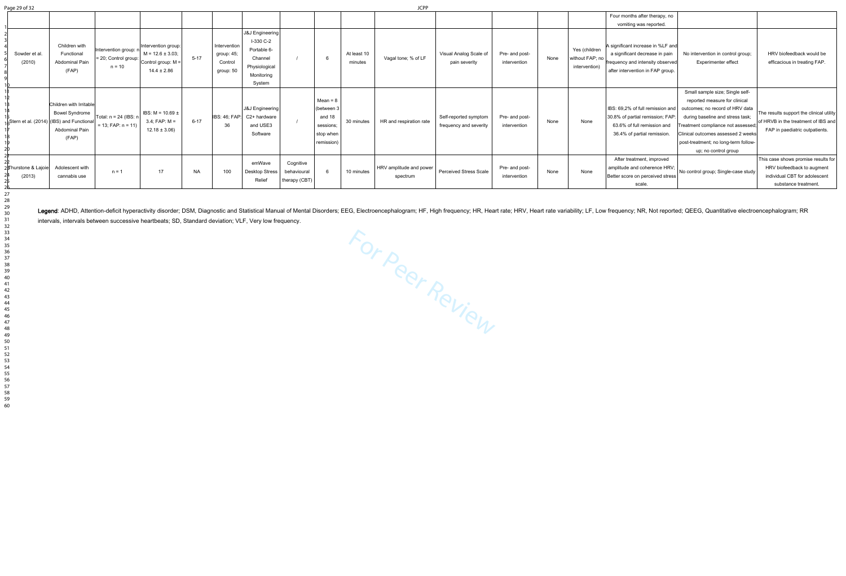For Peer Review Legend: ADHD, Attention-deficit hyperactivity disorder; DSM, Diagnostic and Statistical Manual of Mental Disorders; EEG, Electroencephalogram; HF, High frequency; HR, Heart rate; HRV, Heart rate variability; LF, Low freque intervals, intervals between successive heartbeats; SD, Standard deviation; VLF, Very low frequency.

| Page 29 of 32                  |                                                                                                                                              |                                                              |                                                                                       |           |                                                    |                                                                                                 |                                           |                                                                          |                        | JCPP                                |                                                 |                                |      |                                                   |                                                                                                                                                                                                                                                                                                                                                                                                                          |                                                                                                                           |
|--------------------------------|----------------------------------------------------------------------------------------------------------------------------------------------|--------------------------------------------------------------|---------------------------------------------------------------------------------------|-----------|----------------------------------------------------|-------------------------------------------------------------------------------------------------|-------------------------------------------|--------------------------------------------------------------------------|------------------------|-------------------------------------|-------------------------------------------------|--------------------------------|------|---------------------------------------------------|--------------------------------------------------------------------------------------------------------------------------------------------------------------------------------------------------------------------------------------------------------------------------------------------------------------------------------------------------------------------------------------------------------------------------|---------------------------------------------------------------------------------------------------------------------------|
| Sowder et al<br>(2010)         | Children with<br>Functional<br><b>Abdominal Pain</b><br>(FAP)                                                                                | Intervention group: n<br>$= 20$ ; Control group:<br>$n = 10$ | Intervention group:<br>$M = 12.6 \pm 3.03$ ;<br>Control group: M =<br>$14.4 \pm 2.86$ | $5 - 17$  | Intervention<br>group: 45;<br>Control<br>group: 50 | J&J Engineering<br>I-330 C-2<br>Portable 6-<br>Channel<br>Physiological<br>Monitoring<br>System |                                           | - 6                                                                      | At least 10<br>minutes | Vagal tone; % of LF                 | Visual Analog Scale of<br>pain severity         | Pre- and post-<br>intervention | None | Yes (children<br>without FAP; no<br>intervention) | Four months after therapy, no<br>vomiting was reported.<br>A significant increase in %LF and<br>a significant decrease in pain<br>No intervention in control group;<br>frequency and intensity observed<br><b>Experimenter effect</b><br>after intervention in FAP group.                                                                                                                                                | HRV biofeedback would be<br>efficacious in treating FAP.                                                                  |
|                                | Children with Irritable<br><b>Bowel Syndrome</b><br>$\frac{1}{2}$ Stern et al. (2014) (IBS) and Functional<br><b>Abdominal Pain</b><br>(FAP) | Total: n = 24 (IBS: n<br>$= 13$ ; FAP: $n = 11$ )            | IBS: $M = 10.69 \pm$<br>$3.4; FAP: M =$<br>$12.18 \pm 3.06$ )                         | $6 - 17$  | -36                                                | J&J Engineering  <br>IBS: 46; FAP: C2+ hardware<br>and USE3<br>Software                         |                                           | $Mean = 8$<br>(between<br>and 18<br>sessions;<br>stop when<br>remission) | 30 minutes             | HR and respiration rate             | Self-reported symptom<br>frequency and severity | Pre- and post-<br>intervention | None | None                                              | Small sample size; Single self-<br>reported measure for clinical<br>IBS: 69,2% of full remission and<br>outcomes; no record of HRV data<br>30.8% of partial remission; FAP:<br>during baseline and stress task;<br>63.6% of full remission and<br>Treatment compliance not assessed<br>36.4% of partial remission.<br>Clinical outcomes assessed 2 weeks<br>post-treatment; no long-term follow-<br>up; no control group | The results support the clinical utility<br>of HRVB in the treatment of IBS and<br>FAP in paediatric outpatients.         |
| 2)∏hurstone & Lajoie<br>(2013) | Adolescent with<br>cannabis use                                                                                                              | $n = 1$                                                      | 17                                                                                    | <b>NA</b> | 100                                                | emWave<br><b>Desktop Stress</b><br>Relief                                                       | Cognitive<br>behavioural<br>therapy (CBT) |                                                                          | 10 minutes             | HRV amplitude and power<br>spectrum | <b>Perceived Stress Scale</b>                   | Pre- and post-<br>intervention | None | None                                              | After treatment, improved<br>amplitude and coherence HRV;<br>No control group; Single-case study<br>Better score on perceived stress<br>scale.                                                                                                                                                                                                                                                                           | This case shows promise results for<br>HRV biofeedback to augment<br>individual CBT for adolescent<br>substance treatment |

| age 29 of 32 |  |  |
|--------------|--|--|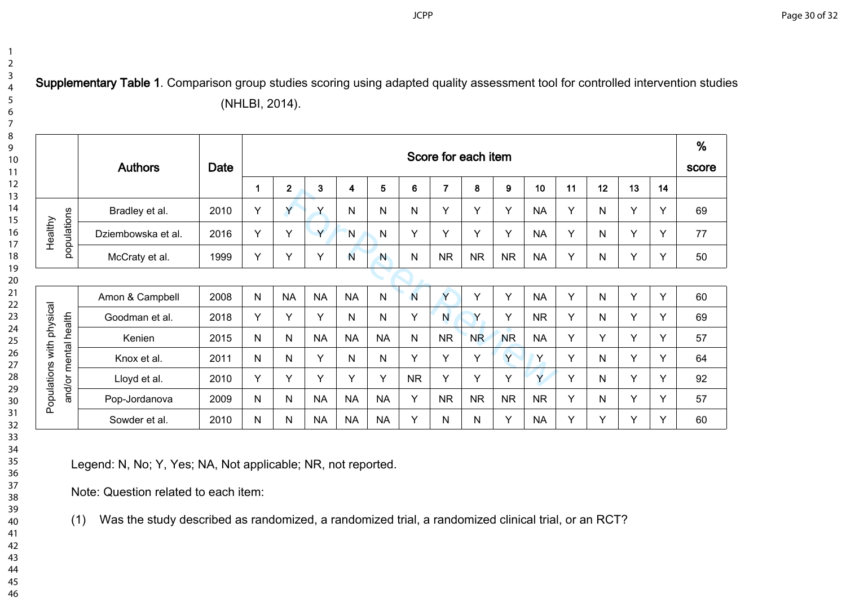**Supplementary Table 1**. Comparison group studies scoring using adapted quality assessment tool for controlled intervention studies (NHLBI, 2014).

|                           | <b>Authors</b>     | Date | Score for each item |              |           |           |              |              |           |                |           |           |    |              |    |    | %<br>score |
|---------------------------|--------------------|------|---------------------|--------------|-----------|-----------|--------------|--------------|-----------|----------------|-----------|-----------|----|--------------|----|----|------------|
|                           |                    |      |                     | $\mathbf 2$  | 3         | 4         | 5            | 6            | 7         | 8              | 9         | 10        | 11 | 12           | 13 | 14 |            |
|                           | Bradley et al.     | 2010 | Υ                   | Y            | Υ         | Ν         | N            | $\mathsf{N}$ | Y         | Υ              | Y         | <b>NA</b> | Υ  | $\mathsf{N}$ | Y  | Υ  | 69         |
| populations<br>Healthy    | Dziembowska et al. | 2016 | Υ                   | Y            | Y         | N         | N            | Y            | Y         | Υ              | Y         | <b>NA</b> | Y  | N            | Y  | Υ  | 77         |
|                           | McCraty et al.     | 1999 | Y                   | Y            | Y         | N         | $\mathbf N$  | N            | <b>NR</b> | <b>NR</b>      | <b>NR</b> | <b>NA</b> | Y  | N            | Y  | Υ  | 50         |
|                           |                    |      |                     |              |           |           |              |              |           |                |           |           |    |              |    |    |            |
|                           | Amon & Campbell    | 2008 | N                   | <b>NA</b>    | <b>NA</b> | <b>NA</b> | $\mathsf{N}$ | N            | Ÿ         | Υ              | Y         | <b>NA</b> | Y  | N            | Y  | Y  | 60         |
|                           | Goodman et al.     | 2018 | Y                   | Y            | Y         | N         | N            | Y            | N         | Y              | Y         | <b>NR</b> | Y  | N.           | Y  | Y  | 69         |
|                           | Kenien             | 2015 | N                   | N            | <b>NA</b> | <b>NA</b> | <b>NA</b>    | $\mathsf{N}$ | <b>NR</b> | N <sub>R</sub> | <b>NR</b> | <b>NA</b> | Y  | Y            | Y  | Υ  | 57         |
|                           | Knox et al.        | 2011 | N                   | N            | Y         | N         | N            | Y            | Y         | Y              | Y         | Y.        | Y  | N            | Y  | Y  | 64         |
| and/or mental health      | Lloyd et al.       | 2010 | Y                   | Y            | Y         | Y         | Y            | <b>NR</b>    | Y         | Y              | Y         | Y         | Y  | N            | Y  | Υ  | 92         |
| Populations with physical | Pop-Jordanova      | 2009 | N                   | $\mathsf{N}$ | <b>NA</b> | <b>NA</b> | <b>NA</b>    | Y            | <b>NR</b> | <b>NR</b>      | <b>NR</b> | <b>NR</b> | Y  | $\mathsf{N}$ | Y  | Υ  | 57         |
|                           | Sowder et al.      | 2010 | N                   | N            | <b>NA</b> | <b>NA</b> | <b>NA</b>    | Y            | N         | N              | Y         | <b>NA</b> | Y  | Y            | Y  | Y  | 60         |

Legend: N, No; Y, Yes; NA, Not applicable; NR, not reported.

Note: Question related to each item:

(1) Was the study described as randomized, a randomized trial, a randomized clinical trial, or an RCT?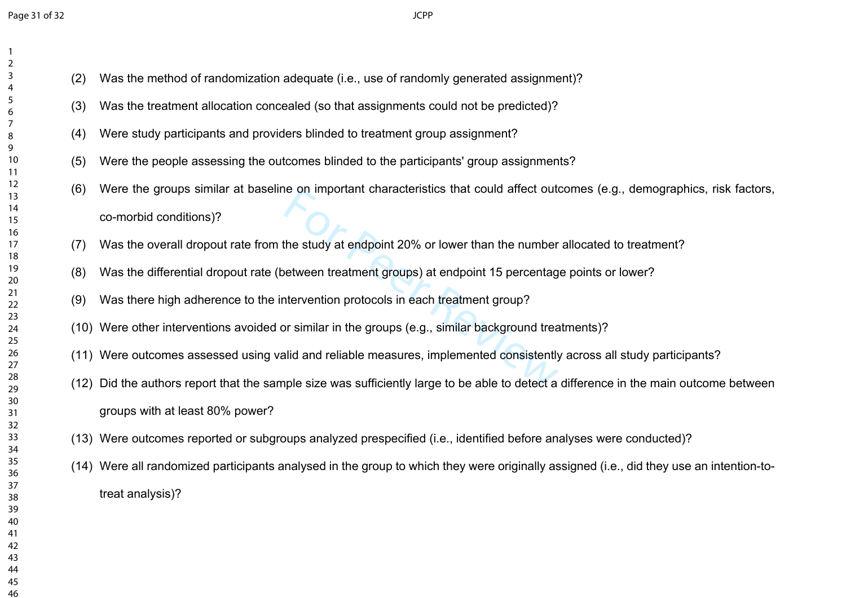- (2) Was the method of randomization adequate (i.e., use of randomly generated assignment)?
- (3) Was the treatment allocation concealed (so that assignments could not be predicted)?
- (4) Were study participants and providers blinded to treatment group assignment?
- (5) Were the people assessing the outcomes blinded to the participants' group assignments?
- For an important characteristics that could affect out<br>the study at endpoint 20% or lower than the number<br>etween treatment groups) at endpoint 15 percentag<br>tervention protocols in each treatment group?<br>pr similar in the gr (6) Were the groups similar at baseline on important characteristics that could affect outcomes (e.g., demographics, risk factors, co-morbid conditions)?
- (7) Was the overall dropout rate from the study at endpoint 20% or lower than the number allocated to treatment?
- (8) Was the differential dropout rate (between treatment groups) at endpoint 15 percentage points or lower?
- (9) Was there high adherence to the intervention protocols in each treatment group?
- (10) Were other interventions avoided or similar in the groups (e.g., similar background treatments)?
- (11) Were outcomes assessed using valid and reliable measures, implemented consistently across all study participants?
- (12) Did the authors report that the sample size was sufficiently large to be able to detect a difference in the main outcome between groups with at least 80% power?
- (13) Were outcomes reported or subgroups analyzed prespecified (i.e., identified before analyses were conducted)?
- (14) Were all randomized participants analysed in the group to which they were originally assigned (i.e., did they use an intention-totreat analysis)?